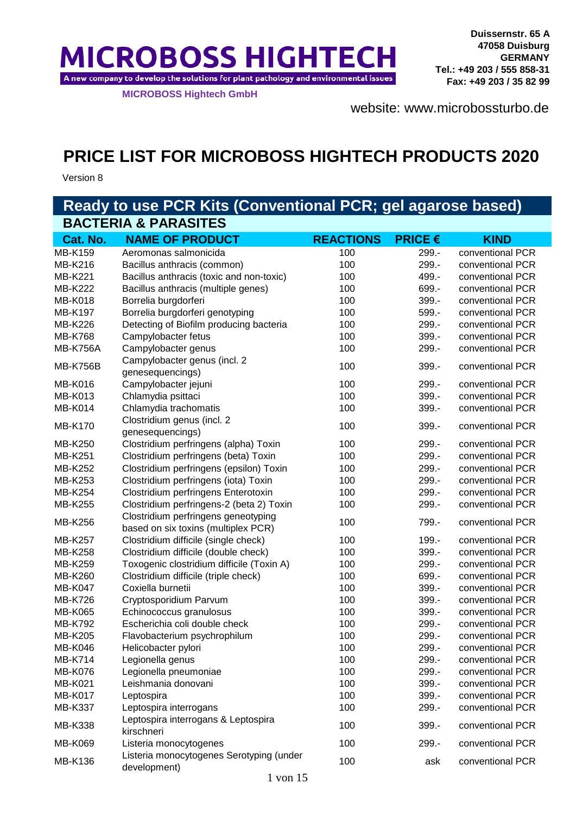**MICROBOSS HIGHTECH** A new company to develop the solutions for plant pathology and environmental issues

**MICROBOSS Hightech GmbH**

[websit](http://www.microbossturbo.de/)e: www.microbossturbo.de

# **PRICE LIST FOR MICROBOSS HIGHTECH PRODUCTS 2020**

Version 8

| Ready to use PCR Kits (Conventional PCR; gel agarose based) |                                                          |                  |                |                  |
|-------------------------------------------------------------|----------------------------------------------------------|------------------|----------------|------------------|
| <b>BACTERIA &amp; PARASITES</b>                             |                                                          |                  |                |                  |
| Cat. No.                                                    | <b>NAME OF PRODUCT</b>                                   | <b>REACTIONS</b> | <b>PRICE €</b> | <b>KIND</b>      |
| <b>MB-K159</b>                                              | Aeromonas salmonicida                                    | 100              | 299.-          | conventional PCR |
| MB-K216                                                     | Bacillus anthracis (common)                              | 100              | 299.-          | conventional PCR |
| MB-K221                                                     | Bacillus anthracis (toxic and non-toxic)                 | 100              | 499.-          | conventional PCR |
| <b>MB-K222</b>                                              | Bacillus anthracis (multiple genes)                      | 100              | 699.-          | conventional PCR |
| <b>MB-K018</b>                                              | Borrelia burgdorferi                                     | 100              | 399.-          | conventional PCR |
| <b>MB-K197</b>                                              | Borrelia burgdorferi genotyping                          | 100              | 599.-          | conventional PCR |
| <b>MB-K226</b>                                              | Detecting of Biofilm producing bacteria                  | 100              | 299.-          | conventional PCR |
| <b>MB-K768</b>                                              | Campylobacter fetus                                      | 100              | 399.-          | conventional PCR |
| <b>MB-K756A</b>                                             | Campylobacter genus                                      | 100              | 299.-          | conventional PCR |
|                                                             | Campylobacter genus (incl. 2                             |                  |                |                  |
| <b>MB-K756B</b>                                             | genesequencings)                                         | 100              | 399.-          | conventional PCR |
| <b>MB-K016</b>                                              | Campylobacter jejuni                                     | 100              | 299.-          | conventional PCR |
| <b>MB-K013</b>                                              | Chlamydia psittaci                                       | 100              | 399.-          | conventional PCR |
| <b>MB-K014</b>                                              | Chlamydia trachomatis                                    | 100              | 399.-          | conventional PCR |
|                                                             | Clostridium genus (incl. 2                               |                  |                |                  |
| <b>MB-K170</b>                                              | genesequencings)                                         | 100              | 399.-          | conventional PCR |
| <b>MB-K250</b>                                              | Clostridium perfringens (alpha) Toxin                    | 100              | 299.-          | conventional PCR |
| <b>MB-K251</b>                                              | Clostridium perfringens (beta) Toxin                     | 100              | 299.-          | conventional PCR |
| <b>MB-K252</b>                                              | Clostridium perfringens (epsilon) Toxin                  | 100              | 299.-          | conventional PCR |
| MB-K253                                                     | Clostridium perfringens (iota) Toxin                     | 100              | 299.-          | conventional PCR |
| <b>MB-K254</b>                                              | Clostridium perfringens Enterotoxin                      | 100              | 299.-          | conventional PCR |
| <b>MB-K255</b>                                              | Clostridium perfringens-2 (beta 2) Toxin                 | 100              | 299.-          | conventional PCR |
| <b>MB-K256</b>                                              | Clostridium perfringens geneotyping                      | 100              | 799.-          | conventional PCR |
|                                                             | based on six toxins (multiplex PCR)                      |                  |                |                  |
| <b>MB-K257</b>                                              | Clostridium difficile (single check)                     | 100              | 199.-          | conventional PCR |
| <b>MB-K258</b>                                              | Clostridium difficile (double check)                     | 100              | 399.-          | conventional PCR |
| <b>MB-K259</b>                                              | Toxogenic clostridium difficile (Toxin A)                | 100              | 299.-          | conventional PCR |
| <b>MB-K260</b>                                              | Clostridium difficile (triple check)                     | 100              | 699.-          | conventional PCR |
| <b>MB-K047</b>                                              | Coxiella burnetii                                        | 100              | 399.-          | conventional PCR |
| <b>MB-K726</b>                                              | Cryptosporidium Parvum                                   | 100              | 399.-          | conventional PCR |
| <b>MB-K065</b>                                              | Echinococcus granulosus                                  | 100              | 399.-          | conventional PCR |
| <b>MB-K792</b>                                              | Escherichia coli double check                            | 100              | 299.-          | conventional PCR |
| <b>MB-K205</b>                                              | Flavobacterium psychrophilum                             | 100              | 299.-          | conventional PCR |
| <b>MB-K046</b>                                              | Helicobacter pylori                                      | 100              | 299.-          | conventional PCR |
| <b>MB-K714</b>                                              | Legionella genus                                         | 100              | 299.-          | conventional PCR |
| <b>MB-K076</b>                                              | Legionella pneumoniae                                    | 100              | 299.-          | conventional PCR |
| <b>MB-K021</b>                                              | Leishmania donovani                                      | 100              | 399.-          | conventional PCR |
| <b>MB-K017</b>                                              | Leptospira                                               | 100              | 399.-          | conventional PCR |
| <b>MB-K337</b>                                              | Leptospira interrogans                                   | 100              | 299.-          | conventional PCR |
| <b>MB-K338</b>                                              | Leptospira interrogans & Leptospira<br>kirschneri        | 100              | 399.-          | conventional PCR |
| <b>MB-K069</b>                                              | Listeria monocytogenes                                   | 100              | 299.-          | conventional PCR |
| <b>MB-K136</b>                                              | Listeria monocytogenes Serotyping (under<br>development) | 100              | ask            | conventional PCR |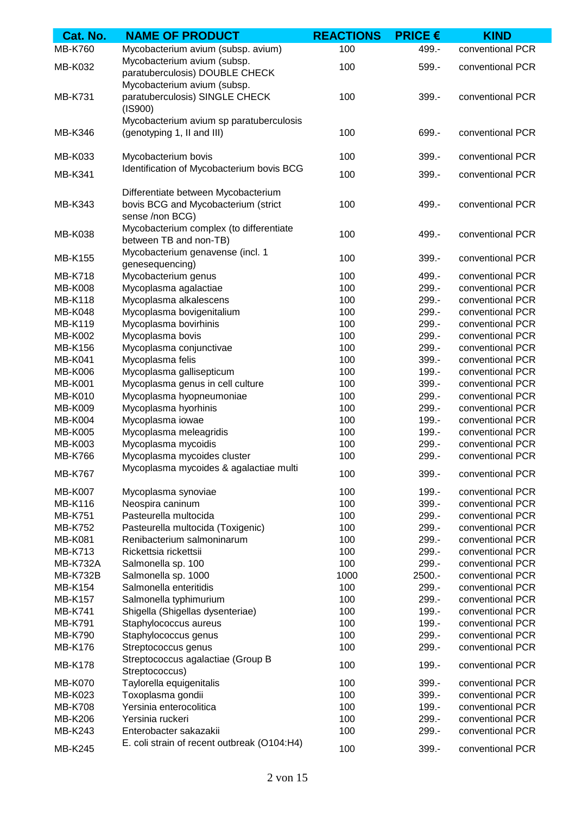| Cat. No.                         | <b>NAME OF PRODUCT</b>                                            | <b>REACTIONS</b> | <b>PRICE €</b> | <b>KIND</b>      |
|----------------------------------|-------------------------------------------------------------------|------------------|----------------|------------------|
| <b>MB-K760</b>                   | Mycobacterium avium (subsp. avium)                                | 100              | 499.-          | conventional PCR |
| <b>MB-K032</b>                   | Mycobacterium avium (subsp.<br>paratuberculosis) DOUBLE CHECK     | 100              | 599.-          | conventional PCR |
|                                  | Mycobacterium avium (subsp.                                       |                  |                |                  |
| <b>MB-K731</b>                   | paratuberculosis) SINGLE CHECK<br>(IS900)                         | 100              | 399.-          | conventional PCR |
|                                  | Mycobacterium avium sp paratuberculosis                           |                  |                |                  |
| MB-K346                          | (genotyping 1, II and III)                                        | 100              | 699.-          | conventional PCR |
| <b>MB-K033</b>                   | Mycobacterium bovis                                               | 100              | 399.-          | conventional PCR |
| <b>MB-K341</b>                   | Identification of Mycobacterium bovis BCG                         | 100              | 399.-          | conventional PCR |
|                                  | Differentiate between Mycobacterium                               |                  |                |                  |
| MB-K343                          | bovis BCG and Mycobacterium (strict                               | 100              | 499.-          | conventional PCR |
|                                  | sense /non BCG)                                                   |                  |                |                  |
| <b>MB-K038</b>                   | Mycobacterium complex (to differentiate<br>between TB and non-TB) | 100              | 499.-          | conventional PCR |
| <b>MB-K155</b>                   | Mycobacterium genavense (incl. 1                                  | 100              | 399.-          | conventional PCR |
| <b>MB-K718</b>                   | genesequencing)<br>Mycobacterium genus                            | 100              | 499.-          | conventional PCR |
| <b>MB-K008</b>                   | Mycoplasma agalactiae                                             | 100              | 299.-          | conventional PCR |
| <b>MB-K118</b>                   | Mycoplasma alkalescens                                            | 100              | 299.-          | conventional PCR |
| <b>MB-K048</b>                   | Mycoplasma bovigenitalium                                         | 100              | 299.-          | conventional PCR |
| <b>MB-K119</b>                   | Mycoplasma bovirhinis                                             | 100              | 299.-          | conventional PCR |
| <b>MB-K002</b>                   | Mycoplasma bovis                                                  | 100              | 299.-          | conventional PCR |
| <b>MB-K156</b>                   | Mycoplasma conjunctivae                                           | 100              | 299.-          | conventional PCR |
| <b>MB-K041</b>                   | Mycoplasma felis                                                  | 100              | 399.-          | conventional PCR |
| <b>MB-K006</b>                   | Mycoplasma gallisepticum                                          | 100              | 199.-          | conventional PCR |
| <b>MB-K001</b>                   | Mycoplasma genus in cell culture                                  | 100              | 399.-          | conventional PCR |
| <b>MB-K010</b>                   | Mycoplasma hyopneumoniae                                          | 100              | 299.-          | conventional PCR |
| <b>MB-K009</b>                   | Mycoplasma hyorhinis                                              | 100              | 299.-          | conventional PCR |
| <b>MB-K004</b>                   | Mycoplasma iowae                                                  | 100              | 199.-          | conventional PCR |
|                                  | Mycoplasma meleagridis                                            | 100              | 199.-          | conventional PCR |
| <b>MB-K005</b><br><b>MB-K003</b> | Mycoplasma mycoidis                                               | 100              | 299.-          | conventional PCR |
| <b>MB-K766</b>                   |                                                                   | 100              | 299.-          |                  |
|                                  | Mycoplasma mycoides cluster                                       |                  |                | conventional PCR |
| <b>MB-K767</b>                   | Mycoplasma mycoides & agalactiae multi                            | 100              | 399.-          | conventional PCR |
| <b>MB-K007</b>                   | Mycoplasma synoviae                                               | 100              | 199.-          | conventional PCR |
| <b>MB-K116</b>                   | Neospira caninum                                                  | 100              | 399.-          | conventional PCR |
| <b>MB-K751</b>                   | Pasteurella multocida                                             | 100              | 299.-          | conventional PCR |
| <b>MB-K752</b>                   | Pasteurella multocida (Toxigenic)                                 | 100              | 299.-          | conventional PCR |
| <b>MB-K081</b>                   | Renibacterium salmoninarum                                        | 100              | 299.-          | conventional PCR |
| <b>MB-K713</b>                   | Rickettsia rickettsii                                             | 100              | 299.-          | conventional PCR |
| <b>MB-K732A</b>                  | Salmonella sp. 100                                                | 100              | 299.-          | conventional PCR |
| MB-K732B                         | Salmonella sp. 1000                                               | 1000             | 2500.-         | conventional PCR |
| <b>MB-K154</b>                   | Salmonella enteritidis                                            | 100              | 299.-          | conventional PCR |
| <b>MB-K157</b>                   | Salmonella typhimurium                                            | 100              | 299.-          | conventional PCR |
| MB-K741                          | Shigella (Shigellas dysenteriae)                                  | 100              | 199.-          | conventional PCR |
| <b>MB-K791</b>                   | Staphylococcus aureus                                             | 100              | 199.-          | conventional PCR |
| <b>MB-K790</b>                   | Staphylococcus genus                                              | 100              | 299.-          | conventional PCR |
| <b>MB-K176</b>                   | Streptococcus genus                                               | 100              | 299.-          | conventional PCR |
| <b>MB-K178</b>                   | Streptococcus agalactiae (Group B<br>Streptococcus)               | 100              | 199.-          | conventional PCR |
| <b>MB-K070</b>                   | Taylorella equigenitalis                                          | 100              | 399.-          | conventional PCR |
| MB-K023                          | Toxoplasma gondii                                                 | 100              | 399.-          | conventional PCR |
| <b>MB-K708</b>                   | Yersinia enterocolitica                                           | 100              | 199.-          | conventional PCR |
| <b>MB-K206</b>                   | Yersinia ruckeri                                                  | 100              | 299.-          | conventional PCR |
| MB-K243                          | Enterobacter sakazakii                                            | 100              | 299.-          | conventional PCR |
| <b>MB-K245</b>                   | E. coli strain of recent outbreak (O104:H4)                       | 100              | 399.-          | conventional PCR |
|                                  |                                                                   |                  |                |                  |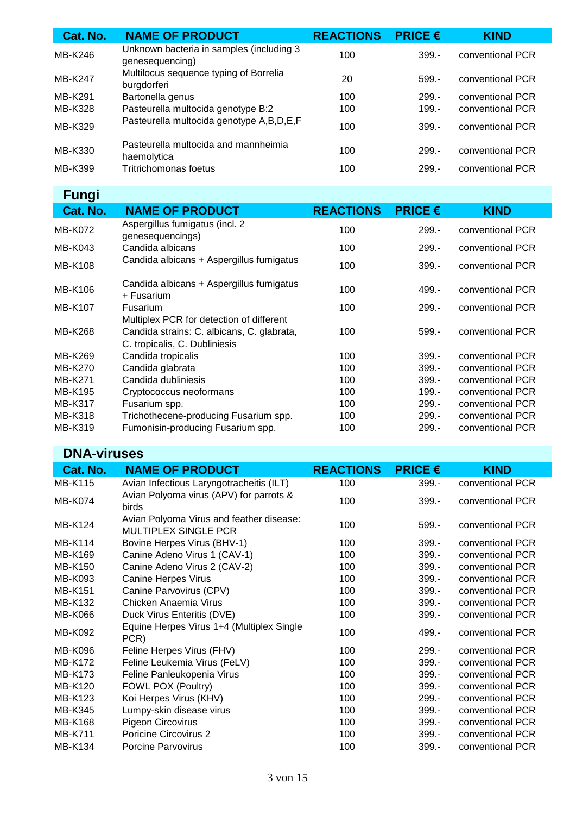| Cat. No. | <b>NAME OF PRODUCT</b>                                      | <b>REACTIONS</b> | <b>PRICE <math>\epsilon</math></b> | <b>KIND</b>      |
|----------|-------------------------------------------------------------|------------------|------------------------------------|------------------|
| MB-K246  | Unknown bacteria in samples (including 3<br>genesequencing) | 100              | $399 -$                            | conventional PCR |
| MB-K247  | Multilocus sequence typing of Borrelia<br>burgdorferi       | 20               | $599 -$                            | conventional PCR |
| MB-K291  | Bartonella genus                                            | 100              | $299 -$                            | conventional PCR |
| MB-K328  | Pasteurella multocida genotype B:2                          | 100              | $199 -$                            | conventional PCR |
| MB-K329  | Pasteurella multocida genotype A,B,D,E,F                    | 100              | $399 -$                            | conventional PCR |
| MB-K330  | Pasteurella multocida and mannheimia<br>haemolytica         | 100              | $299 -$                            | conventional PCR |
| MB-K399  | Tritrichomonas foetus                                       | 100              | $299 -$                            | conventional PCR |

## **Fungi**

| <b>NAME OF PRODUCT</b>                                                                 | <b>REACTIONS</b>              | <b>PRICE <math>\epsilon</math></b> | <b>KIND</b>      |
|----------------------------------------------------------------------------------------|-------------------------------|------------------------------------|------------------|
| Aspergillus fumigatus (incl. 2<br>genesequencings)                                     | 100                           | $299. -$                           | conventional PCR |
| Candida albicans                                                                       | 100                           | $299. -$                           | conventional PCR |
| Candida albicans + Aspergillus fumigatus                                               | 100                           | $399 -$                            | conventional PCR |
| Candida albicans + Aspergillus fumigatus<br>+ Fusarium                                 | 100                           | $499 -$                            | conventional PCR |
| <b>Fusarium</b>                                                                        | 100                           | $299 -$                            | conventional PCR |
| Multiplex PCR for detection of different<br>Candida strains: C. albicans, C. glabrata, | 100                           | $599 -$                            | conventional PCR |
| Candida tropicalis                                                                     | 100                           | $399 -$                            | conventional PCR |
| Candida glabrata                                                                       | 100                           | $399 -$                            | conventional PCR |
| Candida dubliniesis                                                                    | 100                           | $399 -$                            | conventional PCR |
| Cryptococcus neoformans                                                                | 100                           | $199 -$                            | conventional PCR |
| Fusarium spp.                                                                          | 100                           | $299 -$                            | conventional PCR |
| Trichothecene-producing Fusarium spp.                                                  | 100                           | $299 -$                            | conventional PCR |
| Fumonisin-producing Fusarium spp.                                                      | 100                           | 299.-                              | conventional PCR |
|                                                                                        | C. tropicalis, C. Dubliniesis |                                    |                  |

### **DNA-viruses**

| Cat. No.       | <b>NAME OF PRODUCT</b>                                                  | <b>REACTIONS</b> | <b>PRICE <math>\epsilon</math></b> | <b>KIND</b>      |
|----------------|-------------------------------------------------------------------------|------------------|------------------------------------|------------------|
| <b>MB-K115</b> | Avian Infectious Laryngotracheitis (ILT)                                | 100              | $399 -$                            | conventional PCR |
| <b>MB-K074</b> | Avian Polyoma virus (APV) for parrots &<br>birds                        | 100              | $399 -$                            | conventional PCR |
| <b>MB-K124</b> | Avian Polyoma Virus and feather disease:<br><b>MULTIPLEX SINGLE PCR</b> | 100              | $599 -$                            | conventional PCR |
| <b>MB-K114</b> | Bovine Herpes Virus (BHV-1)                                             | 100              | $399 -$                            | conventional PCR |
| MB-K169        | Canine Adeno Virus 1 (CAV-1)                                            | 100              | $399 -$                            | conventional PCR |
| <b>MB-K150</b> | Canine Adeno Virus 2 (CAV-2)                                            | 100              | $399 -$                            | conventional PCR |
| MB-K093        | <b>Canine Herpes Virus</b>                                              | 100              | $399 -$                            | conventional PCR |
| <b>MB-K151</b> | Canine Parvovirus (CPV)                                                 | 100              | $399 -$                            | conventional PCR |
| MB-K132        | Chicken Anaemia Virus                                                   | 100              | $399 -$                            | conventional PCR |
| <b>MB-K066</b> | Duck Virus Enteritis (DVE)                                              | 100              | $399. -$                           | conventional PCR |
| MB-K092        | Equine Herpes Virus 1+4 (Multiplex Single<br>PCR)                       | 100              | 499.-                              | conventional PCR |
| <b>MB-K096</b> | Feline Herpes Virus (FHV)                                               | 100              | $299 -$                            | conventional PCR |
| <b>MB-K172</b> | Feline Leukemia Virus (FeLV)                                            | 100              | $399 -$                            | conventional PCR |
| <b>MB-K173</b> | Feline Panleukopenia Virus                                              | 100              | $399 -$                            | conventional PCR |
| MB-K120        | FOWL POX (Poultry)                                                      | 100              | $399 -$                            | conventional PCR |
| MB-K123        | Koi Herpes Virus (KHV)                                                  | 100              | 299.-                              | conventional PCR |
| MB-K345        | Lumpy-skin disease virus                                                | 100              | $399 -$                            | conventional PCR |
| <b>MB-K168</b> | Pigeon Circovirus                                                       | 100              | $399. -$                           | conventional PCR |
| <b>MB-K711</b> | <b>Poricine Circovirus 2</b>                                            | 100              | $399 -$                            | conventional PCR |
| <b>MB-K134</b> | <b>Porcine Parvovirus</b>                                               | 100              | $399. -$                           | conventional PCR |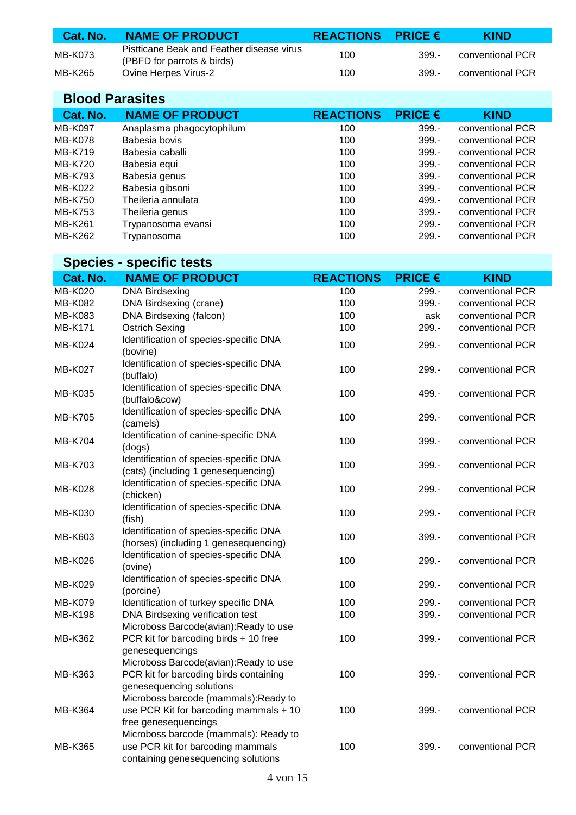| Cat. No. | <b>NAME OF PRODUCT</b>                                                  | REACTIONS PRICE $\epsilon$ |         | <b>KIND</b>      |
|----------|-------------------------------------------------------------------------|----------------------------|---------|------------------|
| MB-K073  | Pistticane Beak and Feather disease virus<br>(PBFD for parrots & birds) | 100                        | $399 -$ | conventional PCR |
| MB-K265  | <b>Ovine Herpes Virus-2</b>                                             | 100                        | $399 -$ | conventional PCR |

| <b>Blood Parasites</b> |                           |                  |                                    |                  |
|------------------------|---------------------------|------------------|------------------------------------|------------------|
| Cat. No.               | <b>NAME OF PRODUCT</b>    | <b>REACTIONS</b> | <b>PRICE <math>\epsilon</math></b> | <b>KIND</b>      |
| <b>MB-K097</b>         | Anaplasma phagocytophilum | 100              | $399 -$                            | conventional PCR |
| MB-K078                | Babesia bovis             | 100              | $399 -$                            | conventional PCR |
| MB-K719                | Babesia caballi           | 100              | $399. -$                           | conventional PCR |
| MB-K720                | Babesia equi              | 100              | $399 -$                            | conventional PCR |
| MB-K793                | Babesia genus             | 100              | $399 -$                            | conventional PCR |
| MB-K022                | Babesia gibsoni           | 100              | $399 -$                            | conventional PCR |
| MB-K750                | Theileria annulata        | 100              | $499. -$                           | conventional PCR |
| MB-K753                | Theileria genus           | 100              | $399 -$                            | conventional PCR |
| MB-K261                | Trypanosoma evansi        | 100              | $299. -$                           | conventional PCR |
| MB-K262                | Trypanosoma               | 100              | $299. -$                           | conventional PCR |

### **Species - specific tests**

| Cat. No.       | <b>NAME OF PRODUCT</b>                                                                                            | <b>REACTIONS</b> | <b>PRICE €</b> | <b>KIND</b>      |
|----------------|-------------------------------------------------------------------------------------------------------------------|------------------|----------------|------------------|
| MB-K020        | <b>DNA Birdsexing</b>                                                                                             | 100              | 299.-          | conventional PCR |
| <b>MB-K082</b> | DNA Birdsexing (crane)                                                                                            | 100              | 399.-          | conventional PCR |
| <b>MB-K083</b> | DNA Birdsexing (falcon)                                                                                           | 100              | ask            | conventional PCR |
| <b>MB-K171</b> | <b>Ostrich Sexing</b>                                                                                             | 100              | 299.-          | conventional PCR |
| MB-K024        | Identification of species-specific DNA<br>(bovine)                                                                | 100              | 299.-          | conventional PCR |
| <b>MB-K027</b> | Identification of species-specific DNA<br>(buffalo)                                                               | 100              | 299.-          | conventional PCR |
| <b>MB-K035</b> | Identification of species-specific DNA<br>(buffalo&cow)                                                           | 100              | 499.-          | conventional PCR |
| <b>MB-K705</b> | Identification of species-specific DNA<br>(camels)                                                                | 100              | 299.-          | conventional PCR |
| <b>MB-K704</b> | Identification of canine-specific DNA<br>(dogs)                                                                   | 100              | 399.-          | conventional PCR |
| <b>MB-K703</b> | Identification of species-specific DNA<br>(cats) (including 1 genesequencing)                                     | 100              | 399.-          | conventional PCR |
| <b>MB-K028</b> | Identification of species-specific DNA<br>(chicken)                                                               | 100              | 299.-          | conventional PCR |
| MB-K030        | Identification of species-specific DNA<br>(fish)                                                                  | 100              | 299.-          | conventional PCR |
| MB-K603        | Identification of species-specific DNA<br>(horses) (including 1 genesequencing)                                   | 100              | 399.-          | conventional PCR |
| MB-K026        | Identification of species-specific DNA<br>(ovine)                                                                 | 100              | 299.-          | conventional PCR |
| MB-K029        | Identification of species-specific DNA<br>(porcine)                                                               | 100              | 299.-          | conventional PCR |
| MB-K079        | Identification of turkey specific DNA                                                                             | 100              | 299.-          | conventional PCR |
| <b>MB-K198</b> | DNA Birdsexing verification test<br>Microboss Barcode(avian):Ready to use                                         | 100              | 399.-          | conventional PCR |
| MB-K362        | PCR kit for barcoding birds + 10 free<br>genesequencings                                                          | 100              | 399.-          | conventional PCR |
| MB-K363        | Microboss Barcode(avian): Ready to use<br>PCR kit for barcoding birds containing<br>genesequencing solutions      | 100              | $399 -$        | conventional PCR |
| <b>MB-K364</b> | Microboss barcode (mammals): Ready to<br>use PCR Kit for barcoding mammals + 10<br>free genesequencings           | 100              | 399.-          | conventional PCR |
| MB-K365        | Microboss barcode (mammals): Ready to<br>use PCR kit for barcoding mammals<br>containing genesequencing solutions | 100              | 399.-          | conventional PCR |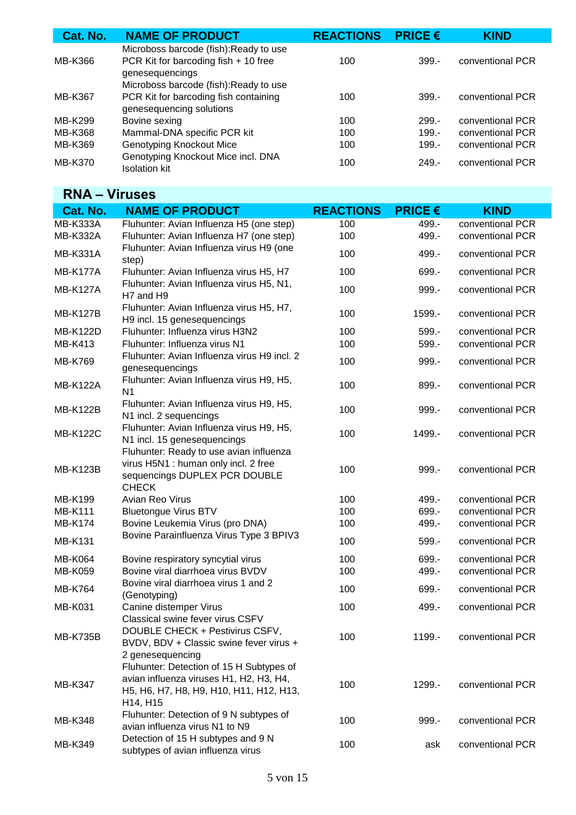| Cat. No.       | <b>NAME OF PRODUCT</b>                                                                                      | <b>REACTIONS</b> | <b>PRICE <math>\epsilon</math></b> | <b>KIND</b>      |
|----------------|-------------------------------------------------------------------------------------------------------------|------------------|------------------------------------|------------------|
| MB-K366        | Microboss barcode (fish): Ready to use<br>PCR Kit for barcoding fish + 10 free<br>genesequencings           | 100              | $399 -$                            | conventional PCR |
| MB-K367        | Microboss barcode (fish): Ready to use<br>PCR Kit for barcoding fish containing<br>genesequencing solutions | 100              | $399 -$                            | conventional PCR |
| MB-K299        | Bovine sexing                                                                                               | 100              | $299. -$                           | conventional PCR |
| <b>MB-K368</b> | Mammal-DNA specific PCR kit                                                                                 | 100              | $199 -$                            | conventional PCR |
| MB-K369        | <b>Genotyping Knockout Mice</b>                                                                             | 100              | $199 -$                            | conventional PCR |
| MB-K370        | Genotyping Knockout Mice incl. DNA<br><b>Isolation kit</b>                                                  | 100              | $249 -$                            | conventional PCR |

### **RNA – Viruses**

| Cat. No.        | <b>NAME OF PRODUCT</b>                                                                                                                     | <b>REACTIONS</b> | <b>PRICE <math>\epsilon</math></b> | <b>KIND</b>      |
|-----------------|--------------------------------------------------------------------------------------------------------------------------------------------|------------------|------------------------------------|------------------|
| <b>MB-K333A</b> | Fluhunter: Avian Influenza H5 (one step)                                                                                                   | 100              | 499.-                              | conventional PCR |
| <b>MB-K332A</b> | Fluhunter: Avian Influenza H7 (one step)                                                                                                   | 100              | 499.-                              | conventional PCR |
| <b>MB-K331A</b> | Fluhunter: Avian Influenza virus H9 (one<br>step)                                                                                          | 100              | 499.-                              | conventional PCR |
| <b>MB-K177A</b> | Fluhunter: Avian Influenza virus H5, H7                                                                                                    | 100              | 699.-                              | conventional PCR |
| <b>MB-K127A</b> | Fluhunter: Avian Influenza virus H5, N1,<br>H7 and H9                                                                                      | 100              | 999.-                              | conventional PCR |
| <b>MB-K127B</b> | Fluhunter: Avian Influenza virus H5, H7,<br>H9 incl. 15 genesequencings                                                                    | 100              | 1599.-                             | conventional PCR |
| <b>MB-K122D</b> | Fluhunter: Influenza virus H3N2                                                                                                            | 100              | 599.-                              | conventional PCR |
| <b>MB-K413</b>  | Fluhunter: Influenza virus N1                                                                                                              | 100              | $599. -$                           | conventional PCR |
| <b>MB-K769</b>  | Fluhunter: Avian Influenza virus H9 incl. 2<br>genesequencings                                                                             | 100              | 999.-                              | conventional PCR |
| <b>MB-K122A</b> | Fluhunter: Avian Influenza virus H9, H5,<br>N <sub>1</sub>                                                                                 | 100              | 899.-                              | conventional PCR |
| <b>MB-K122B</b> | Fluhunter: Avian Influenza virus H9, H5,<br>N1 incl. 2 sequencings                                                                         | 100              | 999.-                              | conventional PCR |
| <b>MB-K122C</b> | Fluhunter: Avian Influenza virus H9, H5,<br>N1 incl. 15 genesequencings                                                                    | 100              | 1499.-                             | conventional PCR |
| <b>MB-K123B</b> | Fluhunter: Ready to use avian influenza<br>virus H5N1 : human only incl. 2 free<br>sequencings DUPLEX PCR DOUBLE<br><b>CHECK</b>           | 100              | 999.-                              | conventional PCR |
| <b>MB-K199</b>  | Avian Reo Virus                                                                                                                            | 100              | 499.-                              | conventional PCR |
| <b>MB-K111</b>  | <b>Bluetongue Virus BTV</b>                                                                                                                | 100              | 699.-                              | conventional PCR |
| <b>MB-K174</b>  | Bovine Leukemia Virus (pro DNA)                                                                                                            | 100              | 499.-                              | conventional PCR |
| <b>MB-K131</b>  | Bovine Parainfluenza Virus Type 3 BPIV3                                                                                                    | 100              | $599. -$                           | conventional PCR |
| <b>MB-K064</b>  | Bovine respiratory syncytial virus                                                                                                         | 100              | 699.-                              | conventional PCR |
| <b>MB-K059</b>  | Bovine viral diarrhoea virus BVDV                                                                                                          | 100              | 499.-                              | conventional PCR |
| <b>MB-K764</b>  | Bovine viral diarrhoea virus 1 and 2<br>(Genotyping)                                                                                       | 100              | 699.-                              | conventional PCR |
| <b>MB-K031</b>  | Canine distemper Virus                                                                                                                     | 100              | 499.-                              | conventional PCR |
| <b>MB-K735B</b> | Classical swine fever virus CSFV<br>DOUBLE CHECK + Pestivirus CSFV,<br>BVDV, BDV + Classic swine fever virus +<br>2 genesequencing         | 100              | 1199.-                             | conventional PCR |
| <b>MB-K347</b>  | Fluhunter: Detection of 15 H Subtypes of<br>avian influenza viruses H1, H2, H3, H4,<br>H5, H6, H7, H8, H9, H10, H11, H12, H13,<br>H14, H15 | 100              | 1299.-                             | conventional PCR |
| <b>MB-K348</b>  | Fluhunter: Detection of 9 N subtypes of<br>avian influenza virus N1 to N9                                                                  | 100              | 999.-                              | conventional PCR |
| MB-K349         | Detection of 15 H subtypes and 9 N<br>subtypes of avian influenza virus                                                                    | 100              | ask                                | conventional PCR |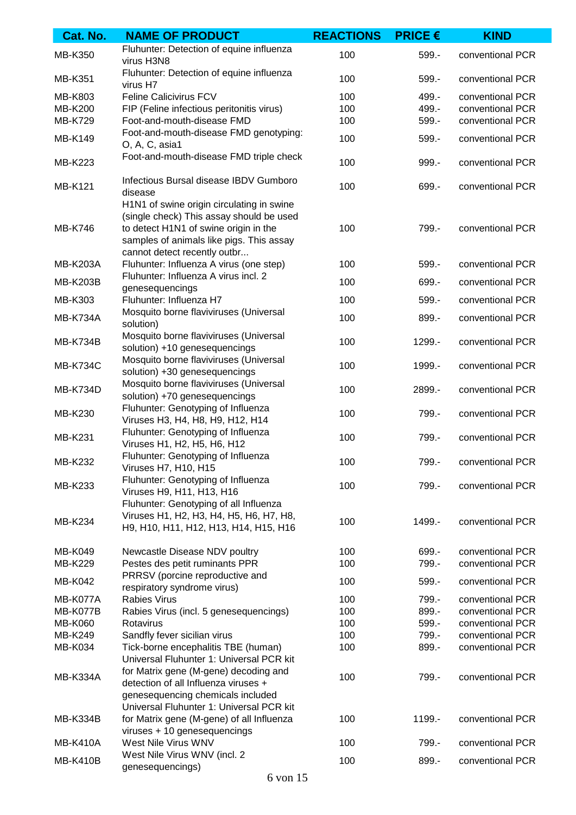| Cat. No.        | <b>NAME OF PRODUCT</b>                                                                                                                                                                                     | <b>REACTIONS</b> | <b>PRICE €</b> | <b>KIND</b>      |
|-----------------|------------------------------------------------------------------------------------------------------------------------------------------------------------------------------------------------------------|------------------|----------------|------------------|
| MB-K350         | Fluhunter: Detection of equine influenza<br>virus H3N8                                                                                                                                                     | 100              | $599. -$       | conventional PCR |
| MB-K351         | Fluhunter: Detection of equine influenza<br>virus H7                                                                                                                                                       | 100              | $599. -$       | conventional PCR |
| MB-K803         | Feline Calicivirus FCV                                                                                                                                                                                     | 100              | 499.-          | conventional PCR |
| <b>MB-K200</b>  | FIP (Feline infectious peritonitis virus)                                                                                                                                                                  | 100              | 499.-          | conventional PCR |
| MB-K729         | Foot-and-mouth-disease FMD                                                                                                                                                                                 | 100              | 599.-          | conventional PCR |
| MB-K149         | Foot-and-mouth-disease FMD genotyping:<br>O, A, C, asia1                                                                                                                                                   | 100              | 599.-          | conventional PCR |
| <b>MB-K223</b>  | Foot-and-mouth-disease FMD triple check                                                                                                                                                                    | 100              | 999.-          | conventional PCR |
| <b>MB-K121</b>  | Infectious Bursal disease IBDV Gumboro<br>disease                                                                                                                                                          | 100              | 699.-          | conventional PCR |
| <b>MB-K746</b>  | H1N1 of swine origin circulating in swine<br>(single check) This assay should be used<br>to detect H1N1 of swine origin in the<br>samples of animals like pigs. This assay<br>cannot detect recently outbr | 100              | 799.-          | conventional PCR |
| <b>MB-K203A</b> | Fluhunter: Influenza A virus (one step)                                                                                                                                                                    | 100              | 599.-          | conventional PCR |
| <b>MB-K203B</b> | Fluhunter: Influenza A virus incl. 2<br>genesequencings                                                                                                                                                    | 100              | 699.-          | conventional PCR |
| MB-K303         | Fluhunter: Influenza H7                                                                                                                                                                                    | 100              | 599.-          | conventional PCR |
| <b>MB-K734A</b> | Mosquito borne flaviviruses (Universal<br>solution)                                                                                                                                                        | 100              | 899.-          | conventional PCR |
| <b>MB-K734B</b> | Mosquito borne flaviviruses (Universal<br>solution) +10 genesequencings                                                                                                                                    | 100              | 1299.-         | conventional PCR |
| <b>MB-K734C</b> | Mosquito borne flaviviruses (Universal<br>solution) +30 genesequencings                                                                                                                                    | 100              | 1999.-         | conventional PCR |
| <b>MB-K734D</b> | Mosquito borne flaviviruses (Universal<br>solution) +70 genesequencings                                                                                                                                    | 100              | 2899.-         | conventional PCR |
| MB-K230         | Fluhunter: Genotyping of Influenza<br>Viruses H3, H4, H8, H9, H12, H14                                                                                                                                     | 100              | 799.-          | conventional PCR |
| <b>MB-K231</b>  | Fluhunter: Genotyping of Influenza<br>Viruses H1, H2, H5, H6, H12                                                                                                                                          | 100              | 799.-          | conventional PCR |
| <b>MB-K232</b>  | Fluhunter: Genotyping of Influenza<br>Viruses H7, H10, H15                                                                                                                                                 | 100              | 799.-          | conventional PCR |
| MB-K233         | Fluhunter: Genotyping of Influenza<br>Viruses H9, H11, H13, H16                                                                                                                                            | 100              | 799.-          | conventional PCR |
| <b>MB-K234</b>  | Fluhunter: Genotyping of all Influenza<br>Viruses H1, H2, H3, H4, H5, H6, H7, H8,<br>H9, H10, H11, H12, H13, H14, H15, H16                                                                                 | 100              | 1499.-         | conventional PCR |
| <b>MB-K049</b>  | Newcastle Disease NDV poultry                                                                                                                                                                              | 100              | 699.-          | conventional PCR |
| <b>MB-K229</b>  | Pestes des petit ruminants PPR                                                                                                                                                                             | 100              | 799.-          | conventional PCR |
| <b>MB-K042</b>  | PRRSV (porcine reproductive and<br>respiratory syndrome virus)                                                                                                                                             | 100              | $599. -$       | conventional PCR |
| MB-K077A        | <b>Rabies Virus</b>                                                                                                                                                                                        | 100              | 799.-          | conventional PCR |
| <b>MB-K077B</b> | Rabies Virus (incl. 5 genesequencings)                                                                                                                                                                     | 100              | 899.-          | conventional PCR |
| <b>MB-K060</b>  | Rotavirus                                                                                                                                                                                                  | 100              | 599.-          | conventional PCR |
| MB-K249         | Sandfly fever sicilian virus                                                                                                                                                                               | 100              | 799.-          | conventional PCR |
| <b>MB-K034</b>  | Tick-borne encephalitis TBE (human)                                                                                                                                                                        | 100              | 899.-          | conventional PCR |
|                 | Universal Fluhunter 1: Universal PCR kit                                                                                                                                                                   |                  |                |                  |
| <b>MB-K334A</b> | for Matrix gene (M-gene) decoding and<br>detection of all Influenza viruses +<br>genesequencing chemicals included                                                                                         | 100              | 799.-          | conventional PCR |
|                 | Universal Fluhunter 1: Universal PCR kit                                                                                                                                                                   |                  |                |                  |
| <b>MB-K334B</b> | for Matrix gene (M-gene) of all Influenza<br>viruses + 10 genesequencings                                                                                                                                  | 100              | 1199.-         | conventional PCR |
| <b>MB-K410A</b> | West Nile Virus WNV                                                                                                                                                                                        | 100              | 799.-          | conventional PCR |
| <b>MB-K410B</b> | West Nile Virus WNV (incl. 2<br>genesequencings)                                                                                                                                                           | 100              | 899.-          | conventional PCR |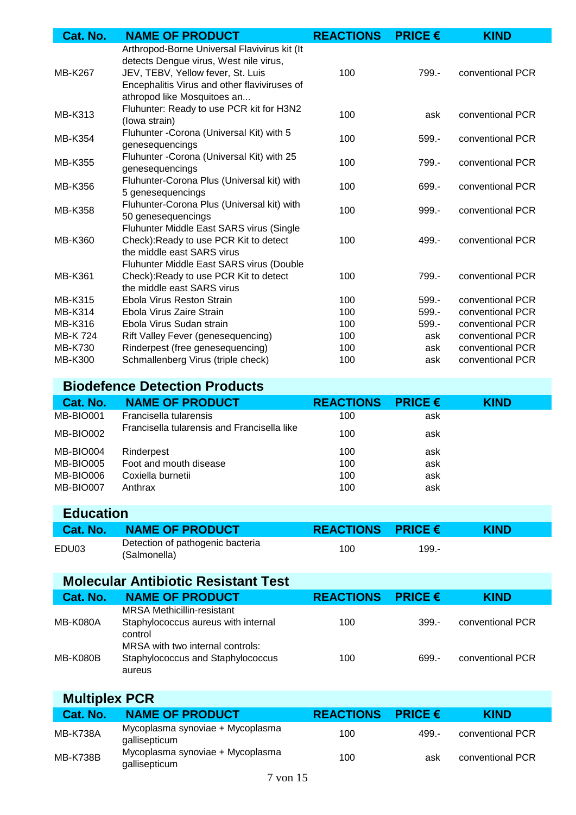| Cat. No.       | <b>NAME OF PRODUCT</b>                                                                                                                                                                                     | <b>REACTIONS</b> | <b>PRICE €</b> | <b>KIND</b>      |
|----------------|------------------------------------------------------------------------------------------------------------------------------------------------------------------------------------------------------------|------------------|----------------|------------------|
| MB-K267        | Arthropod-Borne Universal Flavivirus kit (It<br>detects Dengue virus, West nile virus,<br>JEV, TEBV, Yellow fever, St. Luis<br>Encephalitis Virus and other flaviviruses of<br>athropod like Mosquitoes an | 100              | 799.-          | conventional PCR |
| MB-K313        | Fluhunter: Ready to use PCR kit for H3N2<br>(lowa strain)                                                                                                                                                  | 100              | ask            | conventional PCR |
| MB-K354        | Fluhunter - Corona (Universal Kit) with 5<br>genesequencings                                                                                                                                               | 100              | $599. -$       | conventional PCR |
| <b>MB-K355</b> | Fluhunter - Corona (Universal Kit) with 25<br>genesequencings                                                                                                                                              | 100              | 799.-          | conventional PCR |
| <b>MB-K356</b> | Fluhunter-Corona Plus (Universal kit) with<br>5 genesequencings                                                                                                                                            | 100              | 699.-          | conventional PCR |
| <b>MB-K358</b> | Fluhunter-Corona Plus (Universal kit) with<br>50 genesequencings                                                                                                                                           | 100              | 999.-          | conventional PCR |
| <b>MB-K360</b> | Fluhunter Middle East SARS virus (Single<br>Check): Ready to use PCR Kit to detect<br>the middle east SARS virus                                                                                           | 100              | $499. -$       | conventional PCR |
| <b>MB-K361</b> | Fluhunter Middle East SARS virus (Double<br>Check): Ready to use PCR Kit to detect<br>the middle east SARS virus                                                                                           | 100              | 799.-          | conventional PCR |
| <b>MB-K315</b> | Ebola Virus Reston Strain                                                                                                                                                                                  | 100              | $599. -$       | conventional PCR |
| <b>MB-K314</b> | Ebola Virus Zaire Strain                                                                                                                                                                                   | 100              | 599.-          | conventional PCR |
| MB-K316        | Ebola Virus Sudan strain                                                                                                                                                                                   | 100              | $599 -$        | conventional PCR |
| MB-K 724       | Rift Valley Fever (genesequencing)                                                                                                                                                                         | 100              | ask            | conventional PCR |
| <b>MB-K730</b> | Rinderpest (free genesequencing)                                                                                                                                                                           | 100              | ask            | conventional PCR |
| <b>MB-K300</b> | Schmallenberg Virus (triple check)                                                                                                                                                                         | 100              | ask            | conventional PCR |
|                | <b>Biodefence Detection Products</b>                                                                                                                                                                       |                  |                |                  |
| Cat. No.       | <b>NAME OF PRODUCT</b>                                                                                                                                                                                     | <b>REACTIONS</b> | <b>PRICE €</b> | <b>KIND</b>      |
| MB-BIO001      | Francisella tularensis                                                                                                                                                                                     | 100              | ask            |                  |
| MB-BIO002      | Francisella tularensis and Francisella like                                                                                                                                                                | 100              | ask            |                  |

| <b>IVID-DIUUUZ</b> |                        | TUU | ask |  |
|--------------------|------------------------|-----|-----|--|
| MB-BIO004          | Rinderpest             | 100 | ask |  |
| MB-BIO005          | Foot and mouth disease | 100 | ask |  |
| MB-BIO006          | Coxiella burnetii      | 100 | ask |  |
| MB-BIO007          | Anthrax                | 100 | ask |  |
|                    |                        |     |     |  |

#### **Education**

| Cat. No. | <b>NAME OF PRODUCT</b>                           | REACTIONS PRICE $\epsilon$ |       | <b>KIND</b> |  |
|----------|--------------------------------------------------|----------------------------|-------|-------------|--|
| EDU03    | Detection of pathogenic bacteria<br>(Salmonella) | 100                        | 199.- |             |  |

### **Molecular Antibiotic Resistant Test**

| Cat. No.        | <b>NAME OF PRODUCT</b>                                                              | <b>REACTIONS</b> | <b>PRICE <math>\epsilon</math></b> | <b>KIND</b>      |
|-----------------|-------------------------------------------------------------------------------------|------------------|------------------------------------|------------------|
| <b>MB-K080A</b> | <b>MRSA Methicillin-resistant</b><br>Staphylococcus aureus with internal<br>control | 100              | $399 -$                            | conventional PCR |
| <b>MB-K080B</b> | MRSA with two internal controls:<br>Staphylococcus and Staphylococcus<br>aureus     | 100              | 699 -                              | conventional PCR |

| <b>Multiplex PCR</b> |                                                   |                  |                                    |                  |  |
|----------------------|---------------------------------------------------|------------------|------------------------------------|------------------|--|
| Cat. No.             | <b>NAME OF PRODUCT</b>                            | <b>REACTIONS</b> | <b>PRICE <math>\epsilon</math></b> | <b>KIND</b>      |  |
| <b>MB-K738A</b>      | Mycoplasma synoviae + Mycoplasma<br>gallisepticum | 100              | 499 -                              | conventional PCR |  |
| <b>MB-K738B</b>      | Mycoplasma synoviae + Mycoplasma<br>gallisepticum | 100              | ask                                | conventional PCR |  |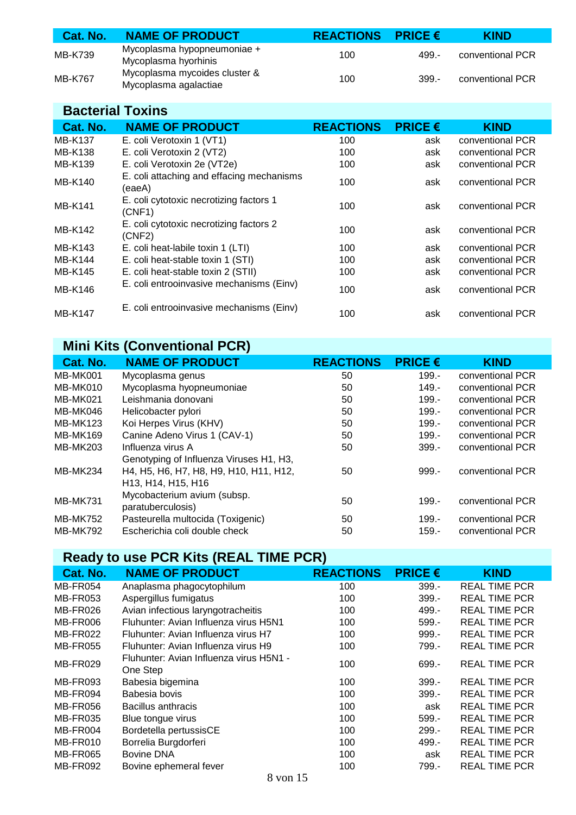| Cat. No.       | <b>NAME OF PRODUCT</b>                                 | REACTIONS PRICE $\epsilon$ |       | <b>KIND</b>      |
|----------------|--------------------------------------------------------|----------------------------|-------|------------------|
| MB-K739        | Mycoplasma hypopneumoniae +<br>Mycoplasma hyorhinis    | 100                        | 499 - | conventional PCR |
| <b>MB-K767</b> | Mycoplasma mycoides cluster &<br>Mycoplasma agalactiae | 100                        | 399.- | conventional PCR |

#### **Bacterial Toxins**

| Cat. No.       | <b>NAME OF PRODUCT</b>                              | <b>REACTIONS</b> | <b>PRICE <math>\epsilon</math></b> | <b>KIND</b>      |
|----------------|-----------------------------------------------------|------------------|------------------------------------|------------------|
| <b>MB-K137</b> | E. coli Verotoxin 1 (VT1)                           | 100              | ask                                | conventional PCR |
| <b>MB-K138</b> | E. coli Verotoxin 2 (VT2)                           | 100              | ask                                | conventional PCR |
| MB-K139        | E. coli Verotoxin 2e (VT2e)                         | 100              | ask                                | conventional PCR |
| <b>MB-K140</b> | E. coli attaching and effacing mechanisms<br>(eaeA) | 100              | ask                                | conventional PCR |
| <b>MB-K141</b> | E. coli cytotoxic necrotizing factors 1<br>(CNF1)   | 100              | ask                                | conventional PCR |
| <b>MB-K142</b> | E. coli cytotoxic necrotizing factors 2<br>(CNF2)   | 100              | ask                                | conventional PCR |
| MB-K143        | E. coli heat-labile toxin 1 (LTI)                   | 100              | ask                                | conventional PCR |
| MB-K144        | E. coli heat-stable toxin 1 (STI)                   | 100              | ask                                | conventional PCR |
| <b>MB-K145</b> | E. coli heat-stable toxin 2 (STII)                  | 100              | ask                                | conventional PCR |
| MB-K146        | E. coli entrooinvasive mechanisms (Einv)            | 100              | ask                                | conventional PCR |
| <b>MB-K147</b> | E. coli entrooinvasive mechanisms (Einv)            | 100              | ask                                | conventional PCR |

# **Mini Kits (Conventional PCR)**

| Cat. No.        | <b>NAME OF PRODUCT</b>                                                | <b>REACTIONS</b> | <b>PRICE <math>\epsilon</math></b> | <b>KIND</b>      |
|-----------------|-----------------------------------------------------------------------|------------------|------------------------------------|------------------|
| <b>MB-MK001</b> | Mycoplasma genus                                                      | 50               | $199. -$                           | conventional PCR |
| MB-MK010        | Mycoplasma hyopneumoniae                                              | 50               | $149. -$                           | conventional PCR |
| MB-MK021        | Leishmania donovani                                                   | 50               | $199 -$                            | conventional PCR |
| MB-MK046        | Helicobacter pylori                                                   | 50               | $199. -$                           | conventional PCR |
| <b>MB-MK123</b> | Koi Herpes Virus (KHV)                                                | 50               | $199 -$                            | conventional PCR |
| <b>MB-MK169</b> | Canine Adeno Virus 1 (CAV-1)                                          | 50               | $199. -$                           | conventional PCR |
| <b>MB-MK203</b> | Influenza virus A                                                     | 50               | $399 -$                            | conventional PCR |
|                 | Genotyping of Influenza Viruses H1, H3,                               |                  |                                    |                  |
| <b>MB-MK234</b> | H4, H5, H6, H7, H8, H9, H10, H11, H12,                                | 50               | $999 -$                            | conventional PCR |
|                 | H <sub>13</sub> , H <sub>14</sub> , H <sub>15</sub> , H <sub>16</sub> |                  |                                    |                  |
| <b>MB-MK731</b> | Mycobacterium avium (subsp.                                           | 50               | $199. -$                           | conventional PCR |
|                 | paratuberculosis)                                                     |                  |                                    |                  |
| <b>MB-MK752</b> | Pasteurella multocida (Toxigenic)                                     | 50               | $199. -$                           | conventional PCR |
| <b>MB-MK792</b> | Escherichia coli double check                                         | 50               | $159 -$                            | conventional PCR |

## **Ready to use PCR Kits (REAL TIME PCR)**

| Cat. No.        | <b>NAME OF PRODUCT</b>                              | <b>REACTIONS</b> | <b>PRICE <math>\epsilon</math></b> | <b>KIND</b>          |
|-----------------|-----------------------------------------------------|------------------|------------------------------------|----------------------|
| MB-FR054        | Anaplasma phagocytophilum                           | 100              | $399 -$                            | <b>REAL TIME PCR</b> |
| MB-FR053        | Aspergillus fumigatus                               | 100              | $399 -$                            | <b>REAL TIME PCR</b> |
| MB-FR026        | Avian infectious laryngotracheitis                  | 100              | 499.-                              | <b>REAL TIME PCR</b> |
| MB-FR006        | Fluhunter: Avian Influenza virus H5N1               | 100              | $599 -$                            | <b>REAL TIME PCR</b> |
| MB-FR022        | Fluhunter: Avian Influenza virus H7                 | 100              | 999.-                              | <b>REAL TIME PCR</b> |
| <b>MB-FR055</b> | Fluhunter: Avian Influenza virus H9                 | 100              | 799.-                              | <b>REAL TIME PCR</b> |
| MB-FR029        | Fluhunter: Avian Influenza virus H5N1 -<br>One Step | 100              | 699.-                              | <b>REAL TIME PCR</b> |
| MB-FR093        | Babesia bigemina                                    | 100              | $399 -$                            | <b>REAL TIME PCR</b> |
| MB-FR094        | Babesia bovis                                       | 100              | $399 -$                            | <b>REAL TIME PCR</b> |
| MB-FR056        | Bacillus anthracis                                  | 100              | ask                                | <b>REAL TIME PCR</b> |
| MB-FR035        | Blue tongue virus                                   | 100              | $599 -$                            | <b>REAL TIME PCR</b> |
| MB-FR004        | Bordetella pertussisCE                              | 100              | $299 -$                            | <b>REAL TIME PCR</b> |
| MB-FR010        | Borrelia Burgdorferi                                | 100              | 499.-                              | <b>REAL TIME PCR</b> |
| MB-FR065        | <b>Bovine DNA</b>                                   | 100              | ask                                | <b>REAL TIME PCR</b> |
| MB-FR092        | Bovine ephemeral fever                              | 100              | 799.-                              | <b>REAL TIME PCR</b> |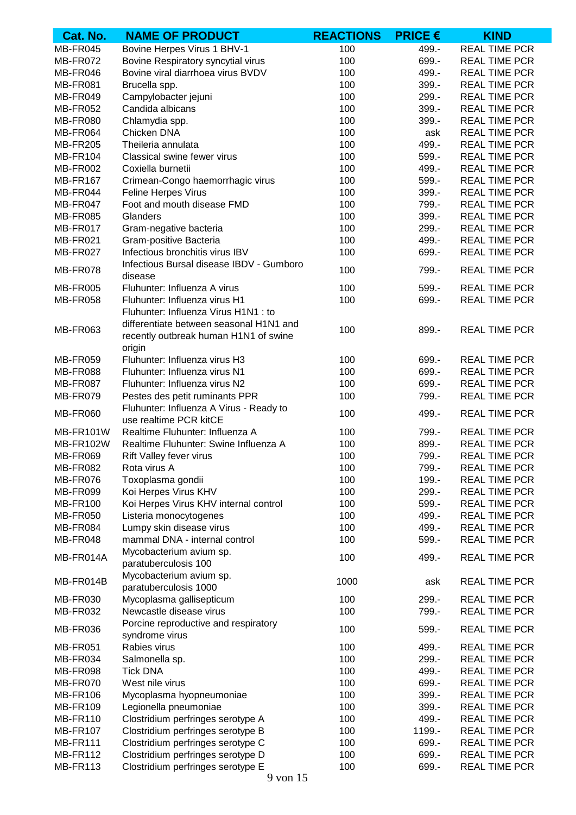| Cat. No.        | <b>NAME OF PRODUCT</b>                                            | <b>REACTIONS</b> | <b>PRICE <math>\epsilon</math></b> | <b>KIND</b>          |
|-----------------|-------------------------------------------------------------------|------------------|------------------------------------|----------------------|
| MB-FR045        | Bovine Herpes Virus 1 BHV-1                                       | 100              | 499.-                              | <b>REAL TIME PCR</b> |
| MB-FR072        | Bovine Respiratory syncytial virus                                | 100              | 699.-                              | <b>REAL TIME PCR</b> |
| MB-FR046        | Bovine viral diarrhoea virus BVDV                                 | 100              | 499.-                              | <b>REAL TIME PCR</b> |
| <b>MB-FR081</b> | Brucella spp.                                                     | 100              | 399.-                              | <b>REAL TIME PCR</b> |
| MB-FR049        | Campylobacter jejuni                                              | 100              | 299.-                              | <b>REAL TIME PCR</b> |
| MB-FR052        | Candida albicans                                                  | 100              | 399.-                              | <b>REAL TIME PCR</b> |
| <b>MB-FR080</b> | Chlamydia spp.                                                    | 100              | 399.-                              | <b>REAL TIME PCR</b> |
| MB-FR064        | Chicken DNA                                                       | 100              | ask                                | <b>REAL TIME PCR</b> |
| <b>MB-FR205</b> | Theileria annulata                                                | 100              | 499.-                              | <b>REAL TIME PCR</b> |
| <b>MB-FR104</b> | Classical swine fewer virus                                       | 100              | 599.-                              | <b>REAL TIME PCR</b> |
| MB-FR002        | Coxiella burnetii                                                 | 100              | 499.-                              | <b>REAL TIME PCR</b> |
| <b>MB-FR167</b> | Crimean-Congo haemorrhagic virus                                  | 100              | 599.-                              | <b>REAL TIME PCR</b> |
| MB-FR044        | Feline Herpes Virus                                               | 100              | 399.-                              | <b>REAL TIME PCR</b> |
| MB-FR047        | Foot and mouth disease FMD                                        | 100              | 799.-                              | <b>REAL TIME PCR</b> |
| <b>MB-FR085</b> | Glanders                                                          | 100              | 399.-                              | <b>REAL TIME PCR</b> |
| MB-FR017        | Gram-negative bacteria                                            | 100              | 299.-                              | <b>REAL TIME PCR</b> |
| MB-FR021        | Gram-positive Bacteria                                            | 100              | 499.-                              | <b>REAL TIME PCR</b> |
| MB-FR027        | Infectious bronchitis virus IBV                                   | 100              | 699.-                              | <b>REAL TIME PCR</b> |
|                 | Infectious Bursal disease IBDV - Gumboro                          |                  |                                    |                      |
| MB-FR078        | disease                                                           | 100              | 799.-                              | <b>REAL TIME PCR</b> |
| <b>MB-FR005</b> | Fluhunter: Influenza A virus                                      | 100              | $599. -$                           | <b>REAL TIME PCR</b> |
| <b>MB-FR058</b> | Fluhunter: Influenza virus H1                                     | 100              | 699.-                              | <b>REAL TIME PCR</b> |
|                 | Fluhunter: Influenza Virus H1N1 : to                              |                  |                                    |                      |
| <b>MB-FR063</b> | differentiate between seasonal H1N1 and                           | 100              | 899.-                              | <b>REAL TIME PCR</b> |
|                 | recently outbreak human H1N1 of swine                             |                  |                                    |                      |
|                 | origin                                                            |                  |                                    |                      |
| <b>MB-FR059</b> | Fluhunter: Influenza virus H3                                     | 100              | 699.-                              | <b>REAL TIME PCR</b> |
| <b>MB-FR088</b> | Fluhunter: Influenza virus N1                                     | 100              | 699.-                              | <b>REAL TIME PCR</b> |
| MB-FR087        | Fluhunter: Influenza virus N2                                     | 100              | 699.-                              | <b>REAL TIME PCR</b> |
| MB-FR079        | Pestes des petit ruminants PPR                                    | 100              | 799.-                              | <b>REAL TIME PCR</b> |
| <b>MB-FR060</b> | Fluhunter: Influenza A Virus - Ready to<br>use realtime PCR kitCE | 100              | 499.-                              | <b>REAL TIME PCR</b> |
| MB-FR101W       | Realtime Fluhunter: Influenza A                                   | 100              | 799.-                              | <b>REAL TIME PCR</b> |
| MB-FR102W       | Realtime Fluhunter: Swine Influenza A                             | 100              | 899.-                              | <b>REAL TIME PCR</b> |
| <b>MB-FR069</b> | Rift Valley fever virus                                           | 100              | 799.-                              | <b>REAL TIME PCR</b> |
| <b>MB-FR082</b> | Rota virus A                                                      | 100              | 799.-                              | <b>REAL TIME PCR</b> |
| MB-FR076        | Toxoplasma gondii                                                 | 100              | 199.-                              | <b>REAL TIME PCR</b> |
| MB-FR099        | Koi Herpes Virus KHV                                              | 100              | 299.-                              | <b>REAL TIME PCR</b> |
| <b>MB-FR100</b> | Koi Herpes Virus KHV internal control                             | 100              | 599.-                              | <b>REAL TIME PCR</b> |
| <b>MB-FR050</b> | Listeria monocytogenes                                            | 100              | 499.-                              | <b>REAL TIME PCR</b> |
| MB-FR084        | Lumpy skin disease virus                                          | 100              | 499.-                              | <b>REAL TIME PCR</b> |
| MB-FR048        | mammal DNA - internal control                                     | 100              | 599.-                              | <b>REAL TIME PCR</b> |
|                 | Mycobacterium avium sp.                                           |                  |                                    |                      |
| MB-FR014A       | paratuberculosis 100                                              | 100              | 499.-                              | <b>REAL TIME PCR</b> |
| MB-FR014B       | Mycobacterium avium sp.                                           | 1000             | ask                                | <b>REAL TIME PCR</b> |
|                 | paratuberculosis 1000                                             |                  |                                    |                      |
| MB-FR030        | Mycoplasma gallisepticum                                          | 100              | 299.-                              | <b>REAL TIME PCR</b> |
| MB-FR032        | Newcastle disease virus                                           | 100              | 799.-                              | <b>REAL TIME PCR</b> |
| MB-FR036        | Porcine reproductive and respiratory                              | 100              | $599. -$                           | <b>REAL TIME PCR</b> |
| MB-FR051        | syndrome virus<br>Rabies virus                                    | 100              | 499.-                              | <b>REAL TIME PCR</b> |
| MB-FR034        | Salmonella sp.                                                    | 100              | 299.-                              | <b>REAL TIME PCR</b> |
| MB-FR098        | <b>Tick DNA</b>                                                   | 100              | 499.-                              | <b>REAL TIME PCR</b> |
| MB-FR070        | West nile virus                                                   | 100              | 699.-                              | <b>REAL TIME PCR</b> |
| <b>MB-FR106</b> | Mycoplasma hyopneumoniae                                          | 100              | 399.-                              | <b>REAL TIME PCR</b> |
| <b>MB-FR109</b> | Legionella pneumoniae                                             | 100              | 399.-                              | <b>REAL TIME PCR</b> |
| <b>MB-FR110</b> | Clostridium perfringes serotype A                                 | 100              | 499.-                              | <b>REAL TIME PCR</b> |
| <b>MB-FR107</b> | Clostridium perfringes serotype B                                 | 100              | 1199.-                             | <b>REAL TIME PCR</b> |
| <b>MB-FR111</b> | Clostridium perfringes serotype C                                 | 100              | 699.-                              | <b>REAL TIME PCR</b> |
| <b>MB-FR112</b> | Clostridium perfringes serotype D                                 | 100              | 699.-                              | <b>REAL TIME PCR</b> |
| MB-FR113        | Clostridium perfringes serotype E                                 | 100              | 699.-                              | <b>REAL TIME PCR</b> |
|                 |                                                                   |                  |                                    |                      |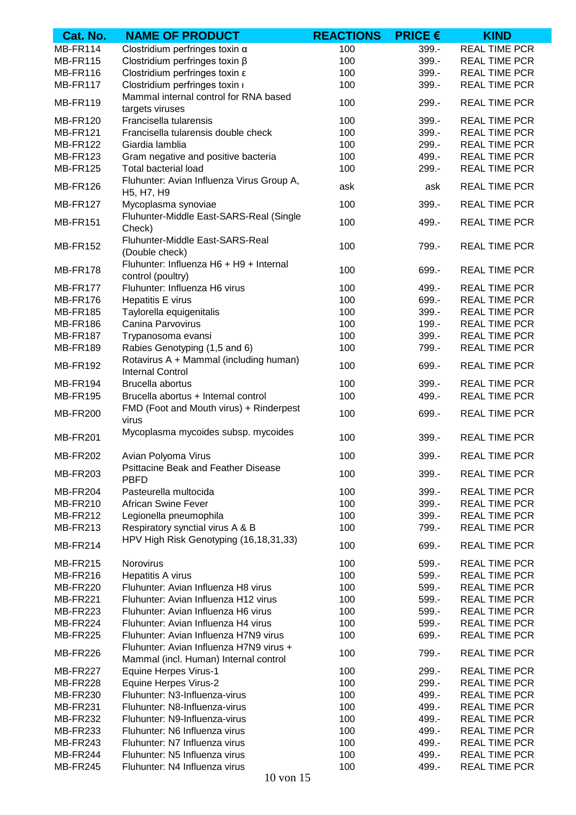| Cat. No.        | <b>NAME OF PRODUCT</b>                                                   | <b>REACTIONS</b> | <b>PRICE <math>\epsilon</math></b> | <b>KIND</b>          |
|-----------------|--------------------------------------------------------------------------|------------------|------------------------------------|----------------------|
| MB-FR114        | Clostridium perfringes toxin $\alpha$                                    | 100              | 399.-                              | <b>REAL TIME PCR</b> |
| <b>MB-FR115</b> | Clostridium perfringes toxin $\beta$                                     | 100              | 399.-                              | <b>REAL TIME PCR</b> |
| <b>MB-FR116</b> | Clostridium perfringes toxin $\varepsilon$                               | 100              | 399.-                              | <b>REAL TIME PCR</b> |
| <b>MB-FR117</b> | Clostridium perfringes toxin i                                           | 100              | 399.-                              | <b>REAL TIME PCR</b> |
| MB-FR119        | Mammal internal control for RNA based<br>targets viruses                 | 100              | 299.-                              | <b>REAL TIME PCR</b> |
| <b>MB-FR120</b> | Francisella tularensis                                                   | 100              | 399.-                              | <b>REAL TIME PCR</b> |
| <b>MB-FR121</b> | Francisella tularensis double check                                      | 100              | 399.-                              | <b>REAL TIME PCR</b> |
| <b>MB-FR122</b> | Giardia lamblia                                                          | 100              | 299.-                              | <b>REAL TIME PCR</b> |
| <b>MB-FR123</b> | Gram negative and positive bacteria                                      | 100              | 499.-                              | <b>REAL TIME PCR</b> |
| <b>MB-FR125</b> | <b>Total bacterial load</b><br>Fluhunter: Avian Influenza Virus Group A, | 100              | 299.-                              | <b>REAL TIME PCR</b> |
| MB-FR126        | H <sub>5</sub> , H <sub>7</sub> , H <sub>9</sub>                         | ask              | ask                                | <b>REAL TIME PCR</b> |
| <b>MB-FR127</b> | Mycoplasma synoviae<br>Fluhunter-Middle East-SARS-Real (Single           | 100              | 399.-                              | <b>REAL TIME PCR</b> |
| <b>MB-FR151</b> | Check)                                                                   | 100              | 499.-                              | <b>REAL TIME PCR</b> |
| <b>MB-FR152</b> | Fluhunter-Middle East-SARS-Real<br>(Double check)                        | 100              | 799.-                              | <b>REAL TIME PCR</b> |
| <b>MB-FR178</b> | Fluhunter: Influenza H6 + H9 + Internal<br>control (poultry)             | 100              | 699.-                              | <b>REAL TIME PCR</b> |
| MB-FR177        | Fluhunter: Influenza H6 virus                                            | 100              | 499.-                              | <b>REAL TIME PCR</b> |
| <b>MB-FR176</b> | Hepatitis E virus                                                        | 100              | 699.-                              | <b>REAL TIME PCR</b> |
| <b>MB-FR185</b> | Taylorella equigenitalis                                                 | 100              | 399.-                              | <b>REAL TIME PCR</b> |
| <b>MB-FR186</b> | Canina Parvovirus                                                        | 100              | 199.-                              | <b>REAL TIME PCR</b> |
| <b>MB-FR187</b> | Trypanosoma evansi                                                       | 100              | 399.-                              | <b>REAL TIME PCR</b> |
| <b>MB-FR189</b> | Rabies Genotyping (1,5 and 6)                                            | 100              | 799.-                              | <b>REAL TIME PCR</b> |
| <b>MB-FR192</b> | Rotavirus A + Mammal (including human)<br><b>Internal Control</b>        | 100              | 699.-                              | <b>REAL TIME PCR</b> |
| MB-FR194        | Brucella abortus                                                         | 100              | $399 -$                            | <b>REAL TIME PCR</b> |
| <b>MB-FR195</b> | Brucella abortus + Internal control                                      | 100              | 499.-                              | <b>REAL TIME PCR</b> |
| <b>MB-FR200</b> | FMD (Foot and Mouth virus) + Rinderpest<br>virus                         | 100              | 699.-                              | <b>REAL TIME PCR</b> |
| <b>MB-FR201</b> | Mycoplasma mycoides subsp. mycoides                                      | 100              | 399.-                              | <b>REAL TIME PCR</b> |
| <b>MB-FR202</b> | Avian Polyoma Virus                                                      | 100              | 399.-                              | <b>REAL TIME PCR</b> |
| <b>MB-FR203</b> | <b>Psittacine Beak and Feather Disease</b><br><b>PBFD</b>                | 100              | 399.-                              | <b>REAL TIME PCR</b> |
| MB-FR204        | Pasteurella multocida                                                    | 100              | 399.-                              | <b>REAL TIME PCR</b> |
| <b>MB-FR210</b> | African Swine Fever                                                      | 100              | 399.-                              | <b>REAL TIME PCR</b> |
| <b>MB-FR212</b> | Legionella pneumophila                                                   | 100              | 399.-                              | <b>REAL TIME PCR</b> |
| <b>MB-FR213</b> | Respiratory synctial virus A & B                                         | 100              | 799.-                              | <b>REAL TIME PCR</b> |
| MB-FR214        | HPV High Risk Genotyping (16,18,31,33)                                   | 100              | 699.-                              | <b>REAL TIME PCR</b> |
| MB-FR215        | Norovirus                                                                | 100              | 599.-                              | <b>REAL TIME PCR</b> |
| MB-FR216        | Hepatitis A virus                                                        | 100              | 599.-                              | <b>REAL TIME PCR</b> |
| <b>MB-FR220</b> | Fluhunter: Avian Influenza H8 virus                                      | 100              | 599.-                              | <b>REAL TIME PCR</b> |
| MB-FR221        | Fluhunter: Avian Influenza H12 virus                                     | 100              | 599.-                              | <b>REAL TIME PCR</b> |
| MB-FR223        | Fluhunter: Avian Influenza H6 virus                                      | 100              | 599.-                              | <b>REAL TIME PCR</b> |
| MB-FR224        | Fluhunter: Avian Influenza H4 virus                                      | 100              | 599.-                              | <b>REAL TIME PCR</b> |
| MB-FR225        | Fluhunter: Avian Influenza H7N9 virus                                    | 100              | 699.-                              | <b>REAL TIME PCR</b> |
|                 | Fluhunter: Avian Influenza H7N9 virus +                                  |                  |                                    |                      |
| MB-FR226        | Mammal (incl. Human) Internal control                                    | 100              | 799.-                              | <b>REAL TIME PCR</b> |
| MB-FR227        | <b>Equine Herpes Virus-1</b>                                             | 100              | 299.-                              | <b>REAL TIME PCR</b> |
| MB-FR228        | <b>Equine Herpes Virus-2</b>                                             | 100              | 299.-                              | <b>REAL TIME PCR</b> |
| <b>MB-FR230</b> | Fluhunter: N3-Influenza-virus                                            | 100              | 499.-                              | <b>REAL TIME PCR</b> |
| <b>MB-FR231</b> | Fluhunter: N8-Influenza-virus                                            | 100              | 499.-                              | <b>REAL TIME PCR</b> |
| <b>MB-FR232</b> | Fluhunter: N9-Influenza-virus                                            | 100              | 499.-                              | <b>REAL TIME PCR</b> |
| <b>MB-FR233</b> | Fluhunter: N6 Influenza virus                                            | 100              | 499.-                              | <b>REAL TIME PCR</b> |
| MB-FR243        | Fluhunter: N7 Influenza virus                                            | 100              | 499.-                              | <b>REAL TIME PCR</b> |
| MB-FR244        | Fluhunter: N5 Influenza virus                                            | 100              | 499.-                              | <b>REAL TIME PCR</b> |
| MB-FR245        | Fluhunter: N4 Influenza virus                                            | 100              | 499.-                              | <b>REAL TIME PCR</b> |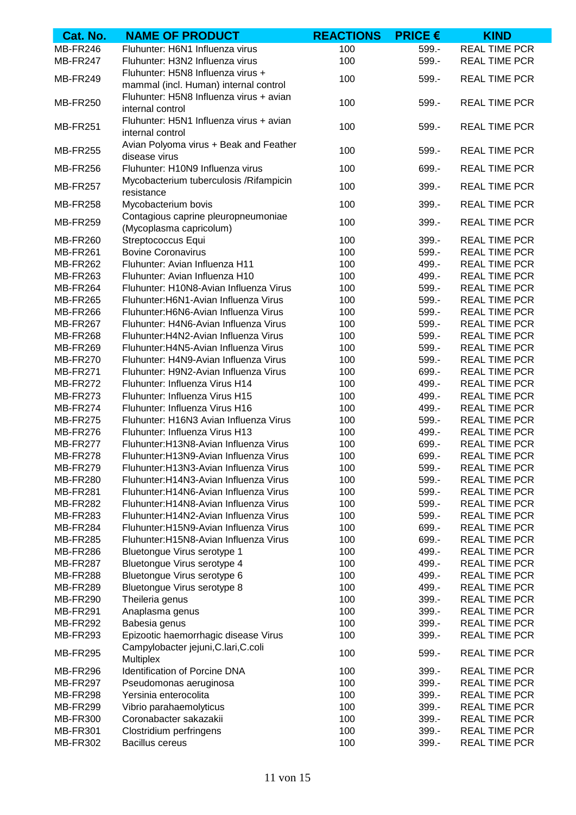| Cat. No.        | <b>NAME OF PRODUCT</b>                            | <b>REACTIONS</b> | <b>PRICE <math>\epsilon</math></b> | <b>KIND</b>          |
|-----------------|---------------------------------------------------|------------------|------------------------------------|----------------------|
| MB-FR246        | Fluhunter: H6N1 Influenza virus                   | 100              | 599.-                              | <b>REAL TIME PCR</b> |
| MB-FR247        | Fluhunter: H3N2 Influenza virus                   | 100              | 599.-                              | <b>REAL TIME PCR</b> |
|                 | Fluhunter: H5N8 Influenza virus +                 |                  |                                    |                      |
| MB-FR249        | mammal (incl. Human) internal control             | 100              | 599.-                              | <b>REAL TIME PCR</b> |
|                 | Fluhunter: H5N8 Influenza virus + avian           |                  |                                    |                      |
| <b>MB-FR250</b> | internal control                                  | 100              | 599.-                              | <b>REAL TIME PCR</b> |
|                 | Fluhunter: H5N1 Influenza virus + avian           |                  |                                    |                      |
| <b>MB-FR251</b> | internal control                                  | 100              | 599.-                              | <b>REAL TIME PCR</b> |
|                 | Avian Polyoma virus + Beak and Feather            |                  |                                    |                      |
| <b>MB-FR255</b> | disease virus                                     | 100              | $599. -$                           | <b>REAL TIME PCR</b> |
| <b>MB-FR256</b> | Fluhunter: H10N9 Influenza virus                  | 100              | 699.-                              | <b>REAL TIME PCR</b> |
|                 | Mycobacterium tuberculosis / Rifampicin           |                  |                                    | <b>REAL TIME PCR</b> |
| <b>MB-FR257</b> | resistance                                        | 100              | $399. -$                           |                      |
| <b>MB-FR258</b> | Mycobacterium bovis                               | 100              | 399.-                              | <b>REAL TIME PCR</b> |
| <b>MB-FR259</b> | Contagious caprine pleuropneumoniae               | 100              | 399.-                              | <b>REAL TIME PCR</b> |
|                 | (Mycoplasma capricolum)                           |                  |                                    |                      |
| <b>MB-FR260</b> | Streptococcus Equi                                | 100              | 399.-                              | <b>REAL TIME PCR</b> |
| <b>MB-FR261</b> | <b>Bovine Coronavirus</b>                         | 100              | 599.-                              | <b>REAL TIME PCR</b> |
| <b>MB-FR262</b> | Fluhunter: Avian Influenza H11                    | 100              | 499.-                              | <b>REAL TIME PCR</b> |
| <b>MB-FR263</b> | Fluhunter: Avian Influenza H10                    | 100              | 499.-                              | <b>REAL TIME PCR</b> |
| MB-FR264        | Fluhunter: H10N8-Avian Influenza Virus            | 100              | 599.-                              | <b>REAL TIME PCR</b> |
| <b>MB-FR265</b> | Fluhunter: H6N1-Avian Influenza Virus             | 100              | 599.-                              | <b>REAL TIME PCR</b> |
| MB-FR266        | Fluhunter: H6N6-Avian Influenza Virus             | 100              | 599.-                              | <b>REAL TIME PCR</b> |
| MB-FR267        | Fluhunter: H4N6-Avian Influenza Virus             | 100              | 599.-                              | <b>REAL TIME PCR</b> |
| MB-FR268        | Fluhunter: H4N2-Avian Influenza Virus             | 100              | 599.-                              | <b>REAL TIME PCR</b> |
| <b>MB-FR269</b> | Fluhunter: H4N5-Avian Influenza Virus             | 100              | 599.-                              | <b>REAL TIME PCR</b> |
| <b>MB-FR270</b> | Fluhunter: H4N9-Avian Influenza Virus             | 100              | 599.-                              | <b>REAL TIME PCR</b> |
|                 |                                                   |                  |                                    |                      |
| <b>MB-FR271</b> | Fluhunter: H9N2-Avian Influenza Virus             | 100              | 699.-                              | <b>REAL TIME PCR</b> |
| MB-FR272        | Fluhunter: Influenza Virus H14                    | 100              | 499.-                              | <b>REAL TIME PCR</b> |
| MB-FR273        | Fluhunter: Influenza Virus H15                    | 100              | 499.-                              | <b>REAL TIME PCR</b> |
| MB-FR274        | Fluhunter: Influenza Virus H16                    | 100              | 499.-                              | <b>REAL TIME PCR</b> |
| <b>MB-FR275</b> | Fluhunter: H16N3 Avian Influenza Virus            | 100              | 599.-                              | <b>REAL TIME PCR</b> |
| MB-FR276        | Fluhunter: Influenza Virus H13                    | 100              | 499.-                              | <b>REAL TIME PCR</b> |
| MB-FR277        | Fluhunter: H13N8-Avian Influenza Virus            | 100              | 699.-                              | <b>REAL TIME PCR</b> |
| <b>MB-FR278</b> | Fluhunter: H13N9-Avian Influenza Virus            | 100              | 699.-                              | <b>REAL TIME PCR</b> |
| <b>MB-FR279</b> | Fluhunter: H13N3-Avian Influenza Virus            | 100              | 599.-                              | <b>REAL TIME PCR</b> |
| <b>MB-FR280</b> | Fluhunter: H14N3-Avian Influenza Virus            | 100              | 599.-                              | <b>REAL TIME PCR</b> |
| <b>MB-FR281</b> | Fluhunter: H14N6-Avian Influenza Virus            | 100              | 599.-                              | <b>REAL TIME PCR</b> |
| <b>MB-FR282</b> | Fluhunter: H14N8-Avian Influenza Virus            | 100              | 599.-                              | <b>REAL TIME PCR</b> |
| MB-FR283        | Fluhunter: H14N2-Avian Influenza Virus            | 100              | 599.-                              | <b>REAL TIME PCR</b> |
| MB-FR284        | Fluhunter: H15N9-Avian Influenza Virus            | 100              | 699.-                              | <b>REAL TIME PCR</b> |
| <b>MB-FR285</b> | Fluhunter: H15N8-Avian Influenza Virus            | 100              | 699.-                              | <b>REAL TIME PCR</b> |
| MB-FR286        | Bluetongue Virus serotype 1                       | 100              | 499.-                              | <b>REAL TIME PCR</b> |
| MB-FR287        | Bluetongue Virus serotype 4                       | 100              | 499.-                              | <b>REAL TIME PCR</b> |
| MB-FR288        | Bluetongue Virus serotype 6                       | 100              | 499.-                              | <b>REAL TIME PCR</b> |
| <b>MB-FR289</b> | Bluetongue Virus serotype 8                       | 100              | 499.-                              | <b>REAL TIME PCR</b> |
| MB-FR290        | Theileria genus                                   | 100              | 399.-                              | <b>REAL TIME PCR</b> |
| <b>MB-FR291</b> | Anaplasma genus                                   | 100              | 399.-                              | <b>REAL TIME PCR</b> |
| MB-FR292        | Babesia genus                                     | 100              | 399.-                              | <b>REAL TIME PCR</b> |
|                 |                                                   |                  |                                    |                      |
| MB-FR293        | Epizootic haemorrhagic disease Virus              | 100              | 399.-                              | <b>REAL TIME PCR</b> |
| MB-FR295        | Campylobacter jejuni, C.lari, C.coli<br>Multiplex | 100              | $599. -$                           | <b>REAL TIME PCR</b> |
| MB-FR296        | Identification of Porcine DNA                     | 100              | 399.-                              | <b>REAL TIME PCR</b> |
| MB-FR297        | Pseudomonas aeruginosa                            | 100              | 399.-                              | <b>REAL TIME PCR</b> |
| MB-FR298        | Yersinia enterocolita                             | 100              | 399.-                              | <b>REAL TIME PCR</b> |
| MB-FR299        | Vibrio parahaemolyticus                           | 100              | 399.-                              | <b>REAL TIME PCR</b> |
| <b>MB-FR300</b> | Coronabacter sakazakii                            | 100              | 399.-                              | <b>REAL TIME PCR</b> |
|                 |                                                   | 100              | 399.-                              | <b>REAL TIME PCR</b> |
| <b>MB-FR301</b> | Clostridium perfringens                           |                  |                                    |                      |
| <b>MB-FR302</b> | <b>Bacillus cereus</b>                            | 100              | 399.-                              | <b>REAL TIME PCR</b> |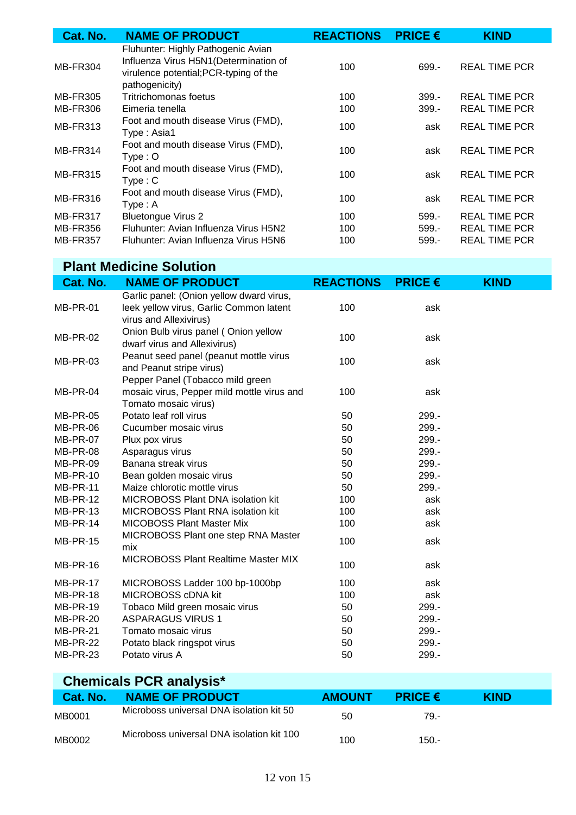| Cat. No.        | <b>NAME OF PRODUCT</b>                                                                                                                   | <b>REACTIONS</b> | <b>PRICE <math>\epsilon</math></b> | <b>KIND</b>          |
|-----------------|------------------------------------------------------------------------------------------------------------------------------------------|------------------|------------------------------------|----------------------|
| <b>MB-FR304</b> | Fluhunter: Highly Pathogenic Avian<br>Influenza Virus H5N1 (Determination of<br>virulence potential; PCR-typing of the<br>pathogenicity) | 100              | 699.-                              | <b>REAL TIME PCR</b> |
| <b>MB-FR305</b> | Tritrichomonas foetus                                                                                                                    | 100              | $399 -$                            | <b>REAL TIME PCR</b> |
| <b>MB-FR306</b> | Eimeria tenella                                                                                                                          | 100              | $399 -$                            | <b>REAL TIME PCR</b> |
| <b>MB-FR313</b> | Foot and mouth disease Virus (FMD),<br>Type: Asia1                                                                                       | 100              | ask                                | <b>REAL TIME PCR</b> |
| MB-FR314        | Foot and mouth disease Virus (FMD),<br>$Type: O$                                                                                         | 100              | ask                                | <b>REAL TIME PCR</b> |
| <b>MB-FR315</b> | Foot and mouth disease Virus (FMD),<br>Type: C                                                                                           | 100              | ask                                | <b>REAL TIME PCR</b> |
| MB-FR316        | Foot and mouth disease Virus (FMD),<br>Type: A                                                                                           | 100              | ask                                | <b>REAL TIME PCR</b> |
| MB-FR317        | <b>Bluetongue Virus 2</b>                                                                                                                | 100              | $599 -$                            | <b>REAL TIME PCR</b> |
| <b>MB-FR356</b> | Fluhunter: Avian Influenza Virus H5N2                                                                                                    | 100              | $599 -$                            | <b>REAL TIME PCR</b> |
| <b>MB-FR357</b> | Fluhunter: Avian Influenza Virus H5N6                                                                                                    | 100              | $599 -$                            | <b>REAL TIME PCR</b> |

| <b>Plant Medicine Solution</b> |                                                                                                               |                  |                |             |  |  |
|--------------------------------|---------------------------------------------------------------------------------------------------------------|------------------|----------------|-------------|--|--|
| Cat. No.                       | <b>NAME OF PRODUCT</b>                                                                                        | <b>REACTIONS</b> | <b>PRICE €</b> | <b>KIND</b> |  |  |
| MB-PR-01                       | Garlic panel: (Onion yellow dward virus,<br>leek yellow virus, Garlic Common latent<br>virus and Allexivirus) | 100              | ask            |             |  |  |
| <b>MB-PR-02</b>                | Onion Bulb virus panel (Onion yellow<br>dwarf virus and Allexivirus)                                          | 100              | ask            |             |  |  |
| MB-PR-03                       | Peanut seed panel (peanut mottle virus<br>and Peanut stripe virus)                                            | 100              | ask            |             |  |  |
| MB-PR-04                       | Pepper Panel (Tobacco mild green<br>mosaic virus, Pepper mild mottle virus and<br>Tomato mosaic virus)        | 100              | ask            |             |  |  |
| <b>MB-PR-05</b>                | Potato leaf roll virus                                                                                        | 50               | $299 -$        |             |  |  |
| MB-PR-06                       | Cucumber mosaic virus                                                                                         | 50               | 299.-          |             |  |  |
| <b>MB-PR-07</b>                | Plux pox virus                                                                                                | 50               | 299.-          |             |  |  |
| MB-PR-08                       | Asparagus virus                                                                                               | 50               | 299.-          |             |  |  |
| MB-PR-09                       | Banana streak virus                                                                                           | 50               | 299.-          |             |  |  |
| <b>MB-PR-10</b>                | Bean golden mosaic virus                                                                                      | 50               | 299.-          |             |  |  |
| MB-PR-11                       | Maize chlorotic mottle virus                                                                                  | 50               | 299.-          |             |  |  |
| MB-PR-12                       | <b>MICROBOSS Plant DNA isolation kit</b>                                                                      | 100              | ask            |             |  |  |
| MB-PR-13                       | <b>MICROBOSS Plant RNA isolation kit</b>                                                                      | 100              | ask            |             |  |  |
| MB-PR-14                       | <b>MICOBOSS Plant Master Mix</b>                                                                              | 100              | ask            |             |  |  |
| MB-PR-15                       | MICROBOSS Plant one step RNA Master<br>mix                                                                    | 100              | ask            |             |  |  |
| MB-PR-16                       | <b>MICROBOSS Plant Realtime Master MIX</b>                                                                    | 100              | ask            |             |  |  |
| MB-PR-17                       | MICROBOSS Ladder 100 bp-1000bp                                                                                | 100              | ask            |             |  |  |
| MB-PR-18                       | MICROBOSS cDNA kit                                                                                            | 100              | ask            |             |  |  |
| MB-PR-19                       | Tobaco Mild green mosaic virus                                                                                | 50               | 299.-          |             |  |  |
| MB-PR-20                       | <b>ASPARAGUS VIRUS 1</b>                                                                                      | 50               | 299.-          |             |  |  |
| <b>MB-PR-21</b>                | Tomato mosaic virus                                                                                           | 50               | $299. -$       |             |  |  |
| MB-PR-22                       | Potato black ringspot virus                                                                                   | 50               | 299.-          |             |  |  |
| MB-PR-23                       | Potato virus A                                                                                                | 50               | 299.-          |             |  |  |

| <b>Chemicals PCR analysis*</b> |                                           |               |                                    |             |  |
|--------------------------------|-------------------------------------------|---------------|------------------------------------|-------------|--|
| Cat. No.                       | <b>NAME OF PRODUCT</b>                    | <b>AMOUNT</b> | <b>PRICE <math>\epsilon</math></b> | <b>KIND</b> |  |
| MB0001                         | Microboss universal DNA isolation kit 50  | 50            | 79.-                               |             |  |
| MB0002                         | Microboss universal DNA isolation kit 100 | 100           | $150 -$                            |             |  |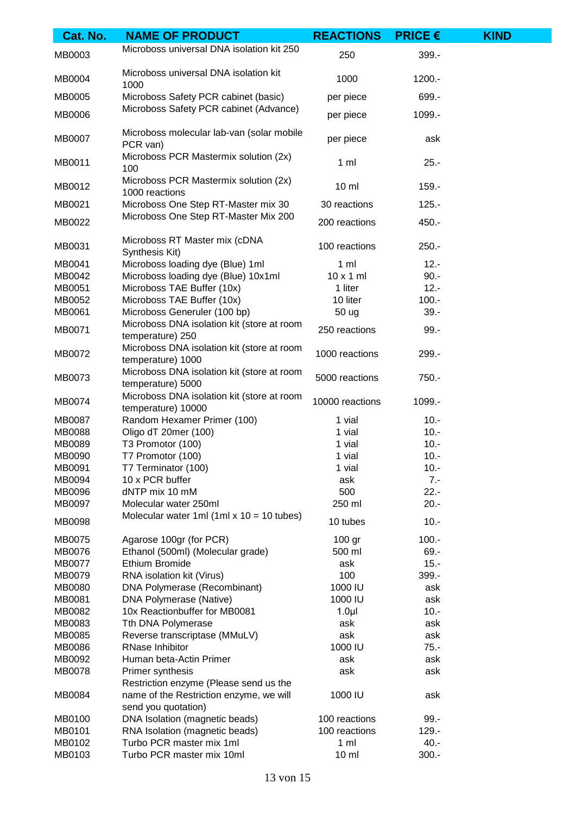| Cat. No.                | <b>NAME OF PRODUCT</b>                                           | <b>REACTIONS</b> | <b>PRICE <math>\epsilon</math></b> | <b>KIND</b> |
|-------------------------|------------------------------------------------------------------|------------------|------------------------------------|-------------|
| MB0003                  | Microboss universal DNA isolation kit 250                        | 250              | 399.-                              |             |
| MB0004                  | Microboss universal DNA isolation kit<br>1000                    | 1000             | 1200.-                             |             |
| MB0005                  | Microboss Safety PCR cabinet (basic)                             | per piece        | 699.-                              |             |
| MB0006                  | Microboss Safety PCR cabinet (Advance)                           | per piece        | 1099.-                             |             |
| MB0007                  | Microboss molecular lab-van (solar mobile<br>PCR van)            | per piece        | ask                                |             |
| MB0011                  | Microboss PCR Mastermix solution (2x)<br>100                     | $1 \,$ ml        | $25. -$                            |             |
| MB0012                  | Microboss PCR Mastermix solution (2x)<br>1000 reactions          | $10 \mathrm{m}$  | $159. -$                           |             |
| MB0021                  | Microboss One Step RT-Master mix 30                              | 30 reactions     | $125. -$                           |             |
| MB0022                  | Microboss One Step RT-Master Mix 200                             | 200 reactions    | 450.-                              |             |
| MB0031                  | Microboss RT Master mix (cDNA<br>Synthesis Kit)                  | 100 reactions    | $250 -$                            |             |
| MB0041                  | Microboss loading dye (Blue) 1ml                                 | $1 \text{ ml}$   | $12 -$                             |             |
| MB0042                  | Microboss loading dye (Blue) 10x1ml                              | $10 \times 1$ ml | $90 -$                             |             |
| MB0051                  | Microboss TAE Buffer (10x)                                       | 1 liter          | $12 -$                             |             |
| MB0052                  | Microboss TAE Buffer (10x)                                       | 10 liter         | $100.-$                            |             |
| MB0061                  | Microboss Generuler (100 bp)                                     | 50 ug            | $39 -$                             |             |
| MB0071                  | Microboss DNA isolation kit (store at room<br>temperature) 250   | 250 reactions    | $99. -$                            |             |
| MB0072                  | Microboss DNA isolation kit (store at room<br>temperature) 1000  | 1000 reactions   | 299.-                              |             |
| MB0073                  | Microboss DNA isolation kit (store at room<br>temperature) 5000  | 5000 reactions   | 750.-                              |             |
| MB0074                  | Microboss DNA isolation kit (store at room<br>temperature) 10000 | 10000 reactions  | 1099.-                             |             |
| MB0087                  | Random Hexamer Primer (100)                                      | 1 vial           | $10. -$                            |             |
| <b>MB0088</b>           | Oligo dT 20mer (100)                                             | 1 vial           | $10. -$                            |             |
| MB0089                  | T3 Promotor (100)                                                | 1 vial           | $10. -$                            |             |
| MB0090                  | T7 Promotor (100)                                                | 1 vial           | $10. -$                            |             |
| MB0091                  | T7 Terminator (100)                                              | 1 vial           | $10. -$                            |             |
| MB0094                  | 10 x PCR buffer                                                  | ask              | $7 -$                              |             |
| MB0096                  | dNTP mix 10 mM                                                   | 500              | $22 -$                             |             |
| MB0097                  | Molecular water 250ml                                            | 250 ml           | $20 -$                             |             |
| MB0098                  | Molecular water 1ml $(1ml \times 10 = 10$ tubes)                 | 10 tubes         | $10. -$                            |             |
| MB0075                  | Agarose 100gr (for PCR)                                          | 100 gr           | $100. -$                           |             |
| MB0076                  | Ethanol (500ml) (Molecular grade)                                | 500 ml           | $69 -$                             |             |
| MB0077                  | Ethium Bromide                                                   | ask              | $15. -$                            |             |
| MB0079                  | RNA isolation kit (Virus)                                        | 100              | 399.-                              |             |
| MB0080                  | DNA Polymerase (Recombinant)                                     | 1000 IU          | ask                                |             |
| MB0081                  | DNA Polymerase (Native)                                          | 1000 IU          | ask                                |             |
| MB0082                  | 10x Reactionbuffer for MB0081                                    | 1.0 <sub>µ</sub> | $10. -$                            |             |
| MB0083                  | Tth DNA Polymerase                                               | ask              | ask                                |             |
| MB0085                  | Reverse transcriptase (MMuLV)                                    | ask              | ask                                |             |
| MB0086                  | RNase Inhibitor                                                  | 1000 IU          | $75. -$                            |             |
| MB0092<br><b>MB0078</b> | Human beta-Actin Primer<br>Primer synthesis                      | ask<br>ask       | ask<br>ask                         |             |
|                         | Restriction enzyme (Please send us the                           |                  |                                    |             |
| MB0084                  | name of the Restriction enzyme, we will<br>send you quotation)   | 1000 IU          | ask                                |             |
| MB0100                  | DNA Isolation (magnetic beads)                                   | 100 reactions    | $99 -$                             |             |
| MB0101                  | RNA Isolation (magnetic beads)                                   | 100 reactions    | $129. -$                           |             |
| MB0102                  | Turbo PCR master mix 1ml                                         | $1 \text{ ml}$   | $40. -$                            |             |
| MB0103                  | Turbo PCR master mix 10ml                                        | $10 \mathrm{m}$  | $300.-$                            |             |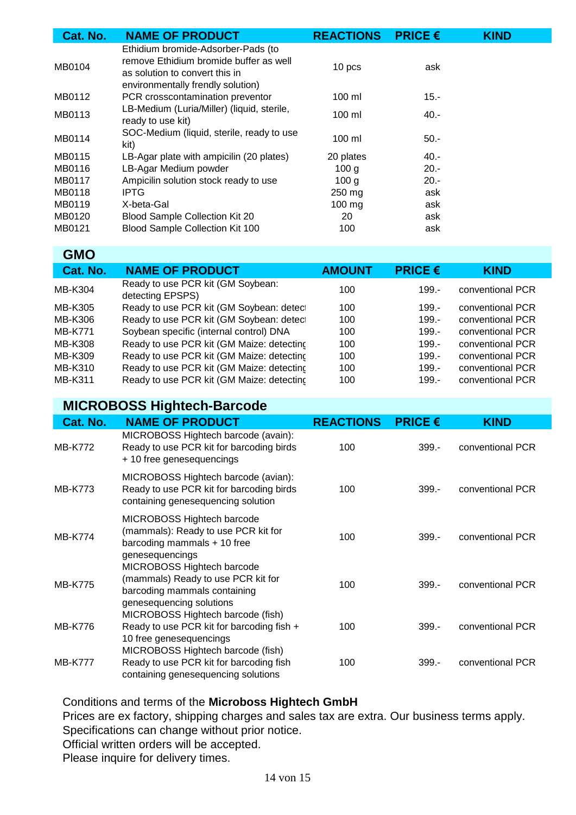| Cat. No. | <b>NAME OF PRODUCT</b>                                                                                                                              | <b>REACTIONS</b> | <b>PRICE €</b> | <b>KIND</b> |
|----------|-----------------------------------------------------------------------------------------------------------------------------------------------------|------------------|----------------|-------------|
| MB0104   | Ethidium bromide-Adsorber-Pads (to<br>remove Ethidium bromide buffer as well<br>as solution to convert this in<br>environmentally frendly solution) | 10 pcs           | ask            |             |
| MB0112   | PCR crosscontamination preventor                                                                                                                    | $100$ ml         | $15.-$         |             |
| MB0113   | LB-Medium (Luria/Miller) (liquid, sterile,<br>ready to use kit)                                                                                     | $100$ ml         | $40 -$         |             |
| MB0114   | SOC-Medium (liquid, sterile, ready to use<br>kit)                                                                                                   | $100 \mathrm{m}$ | $50 -$         |             |
| MB0115   | LB-Agar plate with ampicilin (20 plates)                                                                                                            | 20 plates        | $40 -$         |             |
| MB0116   | LB-Agar Medium powder                                                                                                                               | 100 <sub>q</sub> | $20 -$         |             |
| MB0117   | Ampicilin solution stock ready to use                                                                                                               | 100 g            | $20. -$        |             |
| MB0118   | <b>IPTG</b>                                                                                                                                         | 250 mg           | ask            |             |
| MB0119   | X-beta-Gal                                                                                                                                          | $100 \text{ mg}$ | ask            |             |
| MB0120   | Blood Sample Collection Kit 20                                                                                                                      | 20               | ask            |             |
| MB0121   | Blood Sample Collection Kit 100                                                                                                                     | 100              | ask            |             |

#### **GMO**

| Cat. No.       | <b>NAME OF PRODUCT</b>                                | <b>AMOUNT</b> | <b>PRICE <math>\epsilon</math></b> | <b>KIND</b>      |
|----------------|-------------------------------------------------------|---------------|------------------------------------|------------------|
| MB-K304        | Ready to use PCR kit (GM Soybean:<br>detecting EPSPS) | 100           | $199 -$                            | conventional PCR |
| MB-K305        | Ready to use PCR kit (GM Soybean: detect              | 100           | $199 -$                            | conventional PCR |
| MB-K306        | Ready to use PCR kit (GM Soybean: detect              | 100           | $199 -$                            | conventional PCR |
| <b>MB-K771</b> | Soybean specific (internal control) DNA               | 100           | $199 -$                            | conventional PCR |
| MB-K308        | Ready to use PCR kit (GM Maize: detecting             | 100           | $199 -$                            | conventional PCR |
| MB-K309        | Ready to use PCR kit (GM Maize: detecting             | 100           | $199 -$                            | conventional PCR |
| MB-K310        | Ready to use PCR kit (GM Maize: detecting             | 100           | $199 -$                            | conventional PCR |
| MB-K311        | Ready to use PCR kit (GM Maize: detecting             | 100           | $199 -$                            | conventional PCR |

#### **MICROBOSS Hightech-Barcode**

| Cat. No.       | <b>NAME OF PRODUCT</b>                                                                                                       | <b>REACTIONS</b> | <b>PRICE <math>\epsilon</math></b> | <b>KIND</b>      |
|----------------|------------------------------------------------------------------------------------------------------------------------------|------------------|------------------------------------|------------------|
| <b>MB-K772</b> | MICROBOSS Hightech barcode (avain):<br>Ready to use PCR kit for barcoding birds<br>+ 10 free genesequencings                 | 100              | $399 -$                            | conventional PCR |
| <b>MB-K773</b> | MICROBOSS Hightech barcode (avian):<br>Ready to use PCR kit for barcoding birds<br>containing genesequencing solution        | 100              | $399 -$                            | conventional PCR |
| <b>MB-K774</b> | MICROBOSS Hightech barcode<br>(mammals): Ready to use PCR kit for<br>barcoding mammals + 10 free<br>genesequencings          | 100              | $399 -$                            | conventional PCR |
| <b>MB-K775</b> | MICROBOSS Hightech barcode<br>(mammals) Ready to use PCR kit for<br>barcoding mammals containing<br>genesequencing solutions | 100              | $399 -$                            | conventional PCR |
| <b>MB-K776</b> | MICROBOSS Hightech barcode (fish)<br>Ready to use PCR kit for barcoding fish +<br>10 free genesequencings                    | 100              | $399 -$                            | conventional PCR |
| <b>MB-K777</b> | MICROBOSS Hightech barcode (fish)<br>Ready to use PCR kit for barcoding fish<br>containing genesequencing solutions          | 100              | $399 -$                            | conventional PCR |

Conditions and terms of the **Microboss Hightech GmbH**

Prices are ex factory, shipping charges and sales tax are extra. Our business terms apply.

Specifications can change without prior notice.

Official written orders will be accepted.

Please inquire for delivery times.